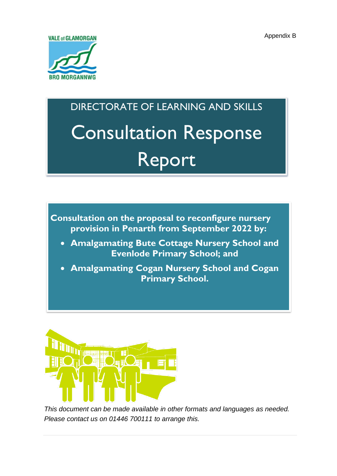

# DIRECTORATE OF LEARNING AND SKILLS Consultation Response Report

**Consultation on the proposal to reconfigure nursery provision in Penarth from September 2022 by:**

- **Amalgamating Bute Cottage Nursery School and Evenlode Primary School; and**
- **Amalgamating Cogan Nursery School and Cogan Primary School.**



*This document can be made available in other formats and languages as needed. Please contact us on 01446 700111 to arrange this.*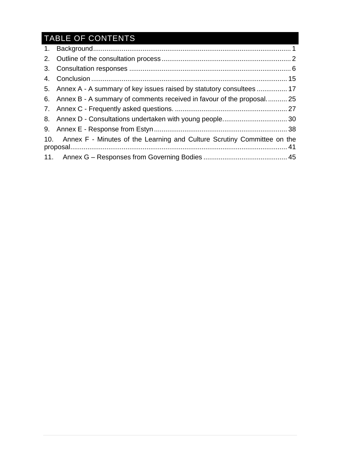## TABLE OF CONTENTS

| 5. Annex A - A summary of key issues raised by statutory consultees  17     |  |
|-----------------------------------------------------------------------------|--|
| 6. Annex B - A summary of comments received in favour of the proposal 25    |  |
|                                                                             |  |
|                                                                             |  |
|                                                                             |  |
| 10. Annex F - Minutes of the Learning and Culture Scrutiny Committee on the |  |
|                                                                             |  |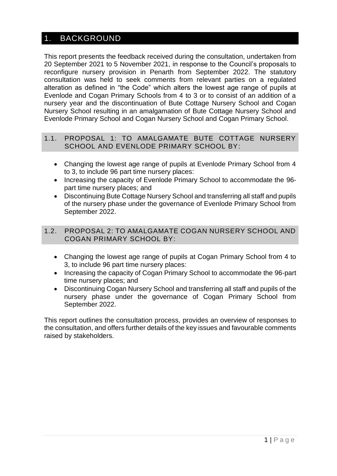### <span id="page-2-0"></span>1. BACKGROUND

This report presents the feedback received during the consultation, undertaken from 20 September 2021 to 5 November 2021, in response to the Council's proposals to reconfigure nursery provision in Penarth from September 2022. The statutory consultation was held to seek comments from relevant parties on a regulated alteration as defined in "the Code" which alters the lowest age range of pupils at Evenlode and Cogan Primary Schools from 4 to 3 or to consist of an addition of a nursery year and the discontinuation of Bute Cottage Nursery School and Cogan Nursery School resulting in an amalgamation of Bute Cottage Nursery School and Evenlode Primary School and Cogan Nursery School and Cogan Primary School.

### 1.1. PROPOSAL 1: TO AMALGAMATE BUTE COTTAGE NURSERY SCHOOL AND EVENLODE PRIMARY SCHOOL BY:

- Changing the lowest age range of pupils at Evenlode Primary School from 4 to 3, to include 96 part time nursery places:
- Increasing the capacity of Evenlode Primary School to accommodate the 96 part time nursery places; and
- Discontinuing Bute Cottage Nursery School and transferring all staff and pupils of the nursery phase under the governance of Evenlode Primary School from September 2022.

### 1.2. PROPOSAL 2: TO AMALGAMATE COGAN NURSERY SCHOOL AND COGAN PRIMARY SCHOOL BY:

- Changing the lowest age range of pupils at Cogan Primary School from 4 to 3, to include 96 part time nursery places:
- Increasing the capacity of Cogan Primary School to accommodate the 96-part time nursery places; and
- Discontinuing Cogan Nursery School and transferring all staff and pupils of the nursery phase under the governance of Cogan Primary School from September 2022.

This report outlines the consultation process, provides an overview of responses to the consultation, and offers further details of the key issues and favourable comments raised by stakeholders.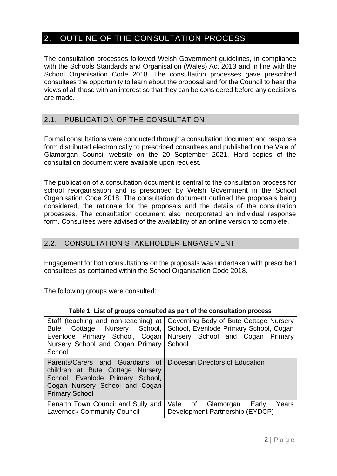### <span id="page-3-0"></span>2. OUTLINE OF THE CONSULTATION PROCESS

The consultation processes followed Welsh Government guidelines, in compliance with the Schools Standards and Organisation (Wales) Act 2013 and in line with the School Organisation Code 2018. The consultation processes gave prescribed consultees the opportunity to learn about the proposal and for the Council to hear the views of all those with an interest so that they can be considered before any decisions are made.

### 2.1. PUBLICATION OF THE CONSULTATION

Formal consultations were conducted through a consultation document and response form distributed electronically to prescribed consultees and published on the Vale of Glamorgan Council website on the 20 September 2021. Hard copies of the consultation document were available upon request.

The publication of a consultation document is central to the consultation process for school reorganisation and is prescribed by Welsh Government in the School Organisation Code 2018. The consultation document outlined the proposals being considered, the rationale for the proposals and the details of the consultation processes. The consultation document also incorporated an individual response form. Consultees were advised of the availability of an online version to complete.

### 2.2. CONSULTATION STAKEHOLDER ENGAGEMENT

Engagement for both consultations on the proposals was undertaken with prescribed consultees as contained within the School Organisation Code 2018.

The following groups were consulted:

| Nursery School and Cogan Primary School<br>School                                                                                                                                                  | Staff (teaching and non-teaching) at Governing Body of Bute Cottage Nursery<br>Bute Cottage Nursery School, School, Evenlode Primary School, Cogan<br>Evenlode Primary School, Cogan Nursery School and Cogan Primary |
|----------------------------------------------------------------------------------------------------------------------------------------------------------------------------------------------------|-----------------------------------------------------------------------------------------------------------------------------------------------------------------------------------------------------------------------|
| Parents/Carers and Guardians of Diocesan Directors of Education<br>children at Bute Cottage Nursery<br>School, Evenlode Primary School,<br>Cogan Nursery School and Cogan<br><b>Primary School</b> |                                                                                                                                                                                                                       |
| Penarth Town Council and Sully and<br><b>Lavernock Community Council</b>                                                                                                                           | Vale of Glamorgan Early<br>Years<br>Development Partnership (EYDCP)                                                                                                                                                   |

#### **Table 1: List of groups consulted as part of the consultation process**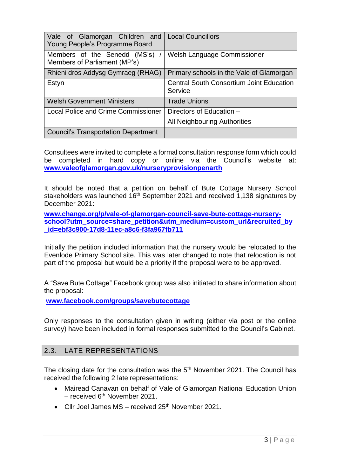| Vale of Glamorgan Children and<br>Young People's Programme Board | <b>Local Councillors</b>                                   |  |  |
|------------------------------------------------------------------|------------------------------------------------------------|--|--|
| Members of the Senedd (MS's)<br>Members of Parliament (MP's)     | <b>Welsh Language Commissioner</b>                         |  |  |
| Rhieni dros Addysg Gymraeg (RHAG)                                | Primary schools in the Vale of Glamorgan                   |  |  |
| Estyn                                                            | <b>Central South Consortium Joint Education</b><br>Service |  |  |
| <b>Welsh Government Ministers</b>                                | <b>Trade Unions</b>                                        |  |  |
| Local Police and Crime Commissioner                              | Directors of Education -                                   |  |  |
|                                                                  | All Neighbouring Authorities                               |  |  |
| <b>Council's Transportation Department</b>                       |                                                            |  |  |

Consultees were invited to complete a formal consultation response form which could be completed in hard copy or online via the Council's website at: **[www.valeofglamorgan.gov.uk/nurseryprovisionpenarth](http://www.valeofglamorgan.gov.uk/nurseryprovisionpenarth)**

It should be noted that a petition on behalf of Bute Cottage Nursery School stakeholders was launched 16<sup>th</sup> September 2021 and received 1,138 signatures by December 2021:

**[www.change.org/p/vale-of-glamorgan-council-save-bute-cottage-nursery](http://www.change.org/p/vale-of-glamorgan-council-save-bute-cottage-nursery-school?utm_source=share_petition&utm_medium=custom_url&recruited_by_id=ebf3c900-17d8-11ec-a8c6-f3fa967fb711)[school?utm\\_source=share\\_petition&utm\\_medium=custom\\_url&recruited\\_by](http://www.change.org/p/vale-of-glamorgan-council-save-bute-cottage-nursery-school?utm_source=share_petition&utm_medium=custom_url&recruited_by_id=ebf3c900-17d8-11ec-a8c6-f3fa967fb711) [\\_id=ebf3c900-17d8-11ec-a8c6-f3fa967fb711](http://www.change.org/p/vale-of-glamorgan-council-save-bute-cottage-nursery-school?utm_source=share_petition&utm_medium=custom_url&recruited_by_id=ebf3c900-17d8-11ec-a8c6-f3fa967fb711)**

Initially the petition included information that the nursery would be relocated to the Evenlode Primary School site. This was later changed to note that relocation is not part of the proposal but would be a priority if the proposal were to be approved.

A "Save Bute Cottage" Facebook group was also initiated to share information about the proposal:

**[www.facebook.com/groups/savebutecottage](http://www.facebook.com/groups/savebutecottage)**

Only responses to the consultation given in writing (either via post or the online survey) have been included in formal responses submitted to the Council's Cabinet.

### 2.3. LATE REPRESENTATIONS

The closing date for the consultation was the  $5<sup>th</sup>$  November 2021. The Council has received the following 2 late representations:

- Mairead Canavan on behalf of Vale of Glamorgan National Education Union  $-$  received 6<sup>th</sup> November 2021.
- Cllr Joel James  $MS received 25<sup>th</sup> November 2021$ .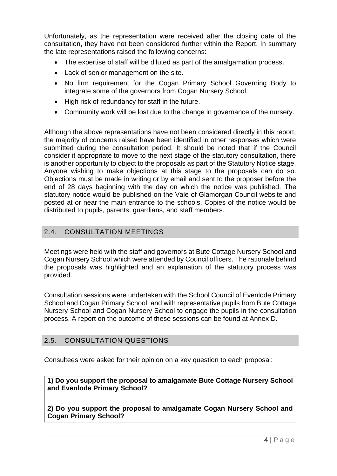Unfortunately, as the representation were received after the closing date of the consultation, they have not been considered further within the Report. In summary the late representations raised the following concerns:

- The expertise of staff will be diluted as part of the amalgamation process.
- Lack of senior management on the site.
- No firm requirement for the Cogan Primary School Governing Body to integrate some of the governors from Cogan Nursery School.
- High risk of redundancy for staff in the future.
- Community work will be lost due to the change in governance of the nursery.

Although the above representations have not been considered directly in this report, the majority of concerns raised have been identified in other responses which were submitted during the consultation period. It should be noted that if the Council consider it appropriate to move to the next stage of the statutory consultation, there is another opportunity to object to the proposals as part of the Statutory Notice stage. Anyone wishing to make objections at this stage to the proposals can do so. Objections must be made in writing or by email and sent to the proposer before the end of 28 days beginning with the day on which the notice was published. The statutory notice would be published on the Vale of Glamorgan Council website and posted at or near the main entrance to the schools. Copies of the notice would be distributed to pupils, parents, guardians, and staff members.

### 2.4. CONSULTATION MEETINGS

Meetings were held with the staff and governors at Bute Cottage Nursery School and Cogan Nursery School which were attended by Council officers. The rationale behind the proposals was highlighted and an explanation of the statutory process was provided.

Consultation sessions were undertaken with the School Council of Evenlode Primary School and Cogan Primary School, and with representative pupils from Bute Cottage Nursery School and Cogan Nursery School to engage the pupils in the consultation process. A report on the outcome of these sessions can be found at Annex D.

### 2.5. CONSULTATION QUESTIONS

Consultees were asked for their opinion on a key question to each proposal:

**1) Do you support the proposal to amalgamate Bute Cottage Nursery School and Evenlode Primary School?**

**2) Do you support the proposal to amalgamate Cogan Nursery School and Cogan Primary School?**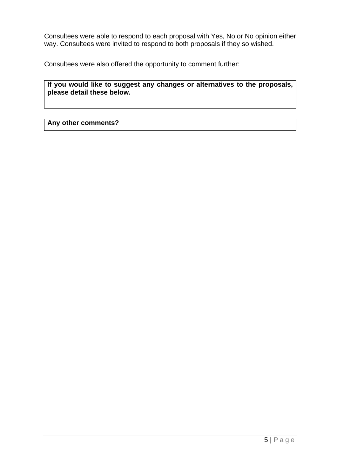Consultees were able to respond to each proposal with Yes, No or No opinion either way. Consultees were invited to respond to both proposals if they so wished.

Consultees were also offered the opportunity to comment further:

**If you would like to suggest any changes or alternatives to the proposals, please detail these below.**

**Any other comments?**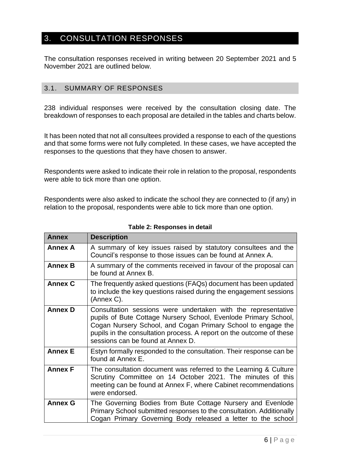### <span id="page-7-0"></span>3. CONSULTATION RESPONSES

The consultation responses received in writing between 20 September 2021 and 5 November 2021 are outlined below.

### 3.1. SUMMARY OF RESPONSES

238 individual responses were received by the consultation closing date. The breakdown of responses to each proposal are detailed in the tables and charts below.

It has been noted that not all consultees provided a response to each of the questions and that some forms were not fully completed. In these cases, we have accepted the responses to the questions that they have chosen to answer.

Respondents were asked to indicate their role in relation to the proposal, respondents were able to tick more than one option.

Respondents were also asked to indicate the school they are connected to (if any) in relation to the proposal, respondents were able to tick more than one option.

| <b>Annex</b>   | <b>Description</b>                                                                                                                                                                                                                                                                                            |
|----------------|---------------------------------------------------------------------------------------------------------------------------------------------------------------------------------------------------------------------------------------------------------------------------------------------------------------|
| <b>Annex A</b> | A summary of key issues raised by statutory consultees and the<br>Council's response to those issues can be found at Annex A.                                                                                                                                                                                 |
| <b>Annex B</b> | A summary of the comments received in favour of the proposal can<br>be found at Annex B.                                                                                                                                                                                                                      |
| <b>Annex C</b> | The frequently asked questions (FAQs) document has been updated<br>to include the key questions raised during the engagement sessions<br>(Annex C).                                                                                                                                                           |
| <b>Annex D</b> | Consultation sessions were undertaken with the representative<br>pupils of Bute Cottage Nursery School, Evenlode Primary School,<br>Cogan Nursery School, and Cogan Primary School to engage the<br>pupils in the consultation process. A report on the outcome of these<br>sessions can be found at Annex D. |
| <b>Annex E</b> | Estyn formally responded to the consultation. Their response can be<br>found at Annex E.                                                                                                                                                                                                                      |
| <b>Annex F</b> | The consultation document was referred to the Learning & Culture<br>Scrutiny Committee on 14 October 2021. The minutes of this<br>meeting can be found at Annex F, where Cabinet recommendations<br>were endorsed.                                                                                            |
| <b>Annex G</b> | The Governing Bodies from Bute Cottage Nursery and Evenlode<br>Primary School submitted responses to the consultation. Additionally<br>Cogan Primary Governing Body released a letter to the school                                                                                                           |

**Table 2: Responses in detail**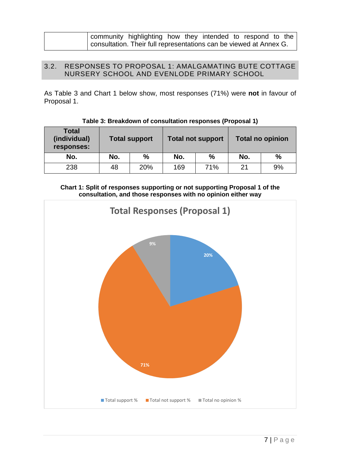| community highlighting how they intended to respond to the         |  |  |  |  |
|--------------------------------------------------------------------|--|--|--|--|
| consultation. Their full representations can be viewed at Annex G. |  |  |  |  |

### 3.2. RESPONSES TO PROPOSAL 1: AMALGAMATING BUTE COTTAGE NURSERY SCHOOL AND EVENLODE PRIMARY SCHOOL

As Table 3 and Chart 1 below show, most responses (71%) were **not** in favour of Proposal 1.

| <b>Total</b><br>(individual)<br>responses: | <b>Total support</b> |               | <b>Total not support</b> |      | <b>Total no opinion</b> |      |
|--------------------------------------------|----------------------|---------------|--------------------------|------|-------------------------|------|
| No.                                        | No.                  | $\frac{0}{0}$ | No.                      | $\%$ | No.                     | $\%$ |
| 238                                        | 48                   | 20%           | 169                      | 71%  | 21                      | 9%   |

**Table 3: Breakdown of consultation responses (Proposal 1)**



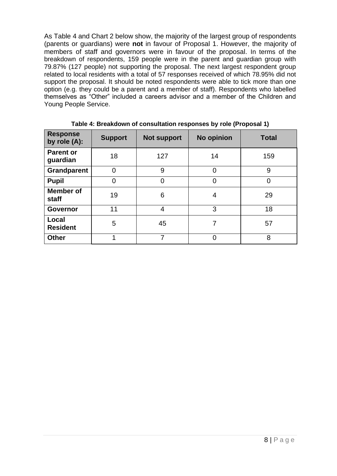As Table 4 and Chart 2 below show, the majority of the largest group of respondents (parents or guardians) were **not** in favour of Proposal 1. However, the majority of members of staff and governors were in favour of the proposal. In terms of the breakdown of respondents, 159 people were in the parent and guardian group with 79.87% (127 people) not supporting the proposal. The next largest respondent group related to local residents with a total of 57 responses received of which 78.95% did not support the proposal. It should be noted respondents were able to tick more than one option (e.g. they could be a parent and a member of staff). Respondents who labelled themselves as "Other" included a careers advisor and a member of the Children and Young People Service.

| <b>Response</b><br>by role (A): | <b>Support</b> | <b>Not support</b> | No opinion     | <b>Total</b>   |
|---------------------------------|----------------|--------------------|----------------|----------------|
| <b>Parent or</b><br>guardian    | 18             | 127                | 14             | 159            |
| <b>Grandparent</b>              | $\Omega$       | 9                  | $\Omega$       | 9              |
| <b>Pupil</b>                    | $\overline{0}$ | $\overline{0}$     | $\overline{0}$ | $\overline{0}$ |
| Member of<br>staff              | 19             | 6                  | 4              | 29             |
| Governor                        | 11             | $\overline{4}$     | 3              | 18             |
| Local<br><b>Resident</b>        | 5              | 45                 | 7              | 57             |
| <b>Other</b>                    | 1              |                    | 0              | 8              |

**Table 4: Breakdown of consultation responses by role (Proposal 1)**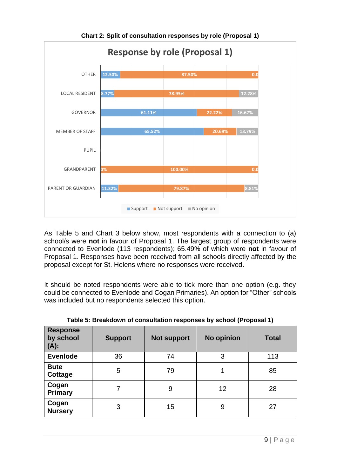

**Chart 2: Split of consultation responses by role (Proposal 1)**

As Table 5 and Chart 3 below show, most respondents with a connection to (a) school/s were **not** in favour of Proposal 1. The largest group of respondents were connected to Evenlode (113 respondents); 65.49% of which were **not** in favour of Proposal 1. Responses have been received from all schools directly affected by the proposal except for St. Helens where no responses were received.

It should be noted respondents were able to tick more than one option (e.g. they could be connected to Evenlode and Cogan Primaries). An option for "Other" schools was included but no respondents selected this option.

| <b>Response</b><br>by school<br>$(A)$ : | <b>Support</b> | <b>Not support</b> | <b>No opinion</b> | <b>Total</b> |
|-----------------------------------------|----------------|--------------------|-------------------|--------------|
| <b>Evenlode</b>                         | 36             | 74                 | 3                 | 113          |
| <b>Bute</b><br>Cottage                  | 5              | 79                 | 1                 | 85           |
| Cogan<br><b>Primary</b>                 |                | 9                  | 12                | 28           |
| Cogan<br><b>Nursery</b>                 | 3              | 15                 | 9                 | 27           |

**Table 5: Breakdown of consultation responses by school (Proposal 1)**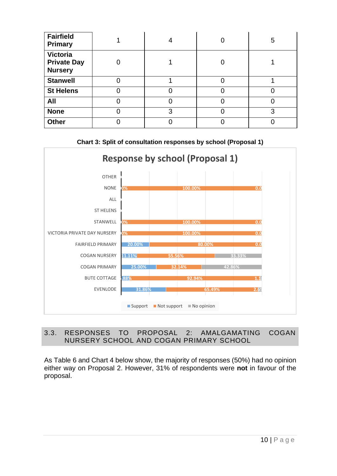| <b>Fairfield</b><br><b>Primary</b>               | 4 |   | 5 |
|--------------------------------------------------|---|---|---|
| Victoria<br><b>Private Day</b><br><b>Nursery</b> |   | C |   |
| <b>Stanwell</b>                                  |   | C |   |
| <b>St Helens</b>                                 |   |   | O |
| All                                              |   |   |   |
| <b>None</b>                                      | 3 |   | 3 |
| <b>Other</b>                                     |   |   |   |



### 3.3. RESPONSES TO PROPOSAL 2: AMALGAMATING COGAN NURSERY SCHOOL AND COGAN PRIMARY SCHOOL

As Table 6 and Chart 4 below show, the majority of responses (50%) had no opinion either way on Proposal 2. However, 31% of respondents were **not** in favour of the proposal.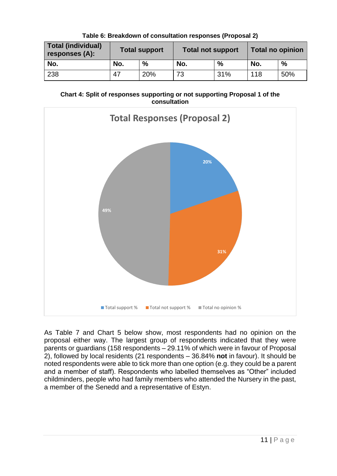| <b>Total (individual)</b><br>responses (A): | <b>Total support</b> |      | <b>Total not support</b> |               | Total no opinion |      |
|---------------------------------------------|----------------------|------|--------------------------|---------------|------------------|------|
| No.                                         | No.                  | $\%$ | No.                      | $\frac{0}{0}$ | No.              | $\%$ |
| 238                                         | 47                   | 20%  | 73                       | 31%           | 118              | 50%  |

**Table 6: Breakdown of consultation responses (Proposal 2)**





As Table 7 and Chart 5 below show, most respondents had no opinion on the proposal either way. The largest group of respondents indicated that they were parents or guardians (158 respondents – 29.11% of which were in favour of Proposal 2), followed by local residents (21 respondents – 36.84% **not** in favour). It should be noted respondents were able to tick more than one option (e.g. they could be a parent and a member of staff). Respondents who labelled themselves as "Other" included childminders, people who had family members who attended the Nursery in the past, a member of the Senedd and a representative of Estyn.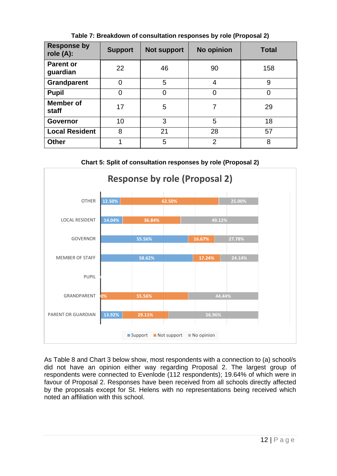| <b>Response by</b><br>role $(A)$ : | <b>Support</b> | <b>Not support</b> | No opinion     | <b>Total</b> |
|------------------------------------|----------------|--------------------|----------------|--------------|
| <b>Parent or</b><br>guardian       | 22             | 46                 | 90             | 158          |
| <b>Grandparent</b>                 | $\overline{0}$ | 5                  | 4              | 9            |
| <b>Pupil</b>                       | $\overline{0}$ | 0                  | 0              | 0            |
| Member of<br>staff                 | 17             | 5                  | 7              | 29           |
| <b>Governor</b>                    | 10             | 3                  | 5              | 18           |
| <b>Local Resident</b>              | 8              | 21                 | 28             | 57           |
| <b>Other</b>                       | 1              | 5                  | $\overline{2}$ | 8            |

**Table 7: Breakdown of consultation responses by role (Proposal 2)**

**Chart 5: Split of consultation responses by role (Proposal 2)**



As Table 8 and Chart 3 below show, most respondents with a connection to (a) school/s did not have an opinion either way regarding Proposal 2. The largest group of respondents were connected to Evenlode (112 respondents); 19.64% of which were in favour of Proposal 2. Responses have been received from all schools directly affected by the proposals except for St. Helens with no representations being received which noted an affiliation with this school.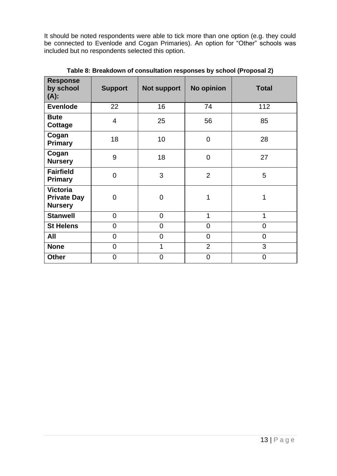It should be noted respondents were able to tick more than one option (e.g. they could be connected to Evenlode and Cogan Primaries). An option for "Other" schools was included but no respondents selected this option.

| <b>Response</b><br>by school<br>$(A)$ :                 | <b>Support</b> | <b>Not support</b> | No opinion     | <b>Total</b>   |
|---------------------------------------------------------|----------------|--------------------|----------------|----------------|
| <b>Evenlode</b>                                         | 22             | 16                 | 74             | 112            |
| <b>Bute</b><br>Cottage                                  | $\overline{4}$ | 25                 | 56             | 85             |
| Cogan<br><b>Primary</b>                                 | 18             | 10                 | $\overline{0}$ | 28             |
| Cogan<br><b>Nursery</b>                                 | 9              | 18                 | $\overline{0}$ | 27             |
| <b>Fairfield</b><br><b>Primary</b>                      | $\overline{0}$ | 3                  | $\overline{2}$ | 5              |
| <b>Victoria</b><br><b>Private Day</b><br><b>Nursery</b> | $\overline{0}$ | $\mathbf 0$        | 1              | 1              |
| <b>Stanwell</b>                                         | $\overline{0}$ | $\overline{0}$     | 1              | 1              |
| <b>St Helens</b>                                        | $\overline{0}$ | $\overline{0}$     | $\overline{0}$ | $\overline{0}$ |
| All                                                     | 0              | $\overline{0}$     | $\overline{0}$ | $\overline{0}$ |
| <b>None</b>                                             | $\overline{0}$ | 1                  | $\overline{2}$ | 3              |
| <b>Other</b>                                            | $\overline{0}$ | $\overline{0}$     | $\mathbf 0$    | $\mathbf 0$    |

**Table 8: Breakdown of consultation responses by school (Proposal 2)**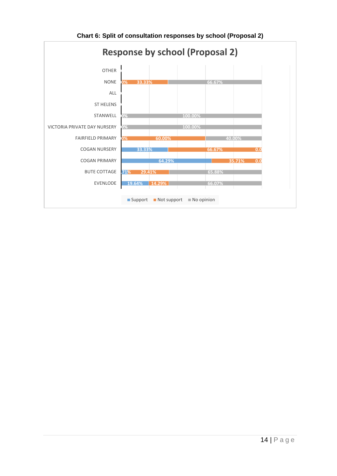<span id="page-15-0"></span>

**Chart 6: Split of consultation responses by school (Proposal 2)**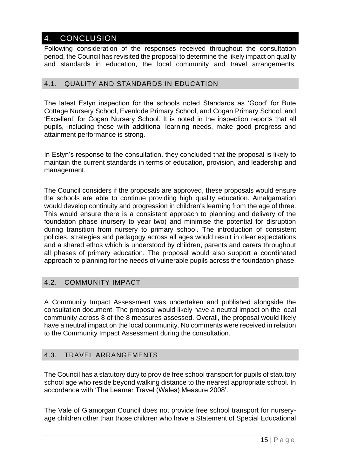### 4. CONCLUSION

Following consideration of the responses received throughout the consultation period, the Council has revisited the proposal to determine the likely impact on quality and standards in education, the local community and travel arrangements.

### 4.1. QUALITY AND STANDARDS IN EDUCATION

The latest Estyn inspection for the schools noted Standards as 'Good' for Bute Cottage Nursery School, Evenlode Primary School, and Cogan Primary School, and 'Excellent' for Cogan Nursery School. It is noted in the inspection reports that all pupils, including those with additional learning needs, make good progress and attainment performance is strong.

In Estyn's response to the consultation, they concluded that the proposal is likely to maintain the current standards in terms of education, provision, and leadership and management.

The Council considers if the proposals are approved, these proposals would ensure the schools are able to continue providing high quality education. Amalgamation would develop continuity and progression in children's learning from the age of three. This would ensure there is a consistent approach to planning and delivery of the foundation phase (nursery to year two) and minimise the potential for disruption during transition from nursery to primary school. The introduction of consistent policies, strategies and pedagogy across all ages would result in clear expectations and a shared ethos which is understood by children, parents and carers throughout all phases of primary education. The proposal would also support a coordinated approach to planning for the needs of vulnerable pupils across the foundation phase.

### 4.2. COMMUNITY IMPACT

A Community Impact Assessment was undertaken and published alongside the consultation document. The proposal would likely have a neutral impact on the local community across 8 of the 8 measures assessed. Overall, the proposal would likely have a neutral impact on the local community. No comments were received in relation to the Community Impact Assessment during the consultation.

### 4.3. TRAVEL ARRANGEMENTS

The Council has a statutory duty to provide free school transport for pupils of statutory school age who reside beyond walking distance to the nearest appropriate school. In accordance with 'The Learner Travel (Wales) Measure 2008'.

The Vale of Glamorgan Council does not provide free school transport for nurseryage children other than those children who have a Statement of Special Educational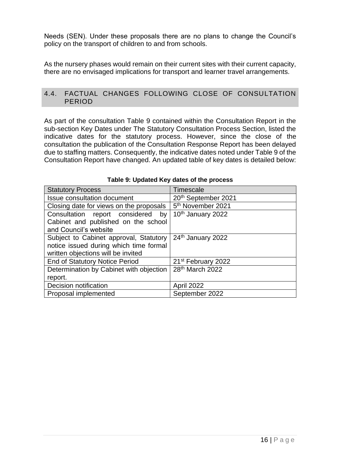Needs (SEN). Under these proposals there are no plans to change the Council's policy on the transport of children to and from schools.

As the nursery phases would remain on their current sites with their current capacity, there are no envisaged implications for transport and learner travel arrangements.

### 4.4. FACTUAL CHANGES FOLLOWING CLOSE OF CONSULTATION PERIOD

As part of the consultation Table 9 contained within the Consultation Report in the sub-section Key Dates under The Statutory Consultation Process Section, listed the indicative dates for the statutory process. However, since the close of the consultation the publication of the Consultation Response Report has been delayed due to staffing matters. Consequently, the indicative dates noted under Table 9 of the Consultation Report have changed. An updated table of key dates is detailed below:

| <b>Statutory Process</b>                | Timescale                      |
|-----------------------------------------|--------------------------------|
| <b>Issue consultation document</b>      | 20th September 2021            |
| Closing date for views on the proposals | 5 <sup>th</sup> November 2021  |
| Consultation report considered<br>by    | 10th January 2022              |
| Cabinet and published on the school     |                                |
| and Council's website                   |                                |
| Subject to Cabinet approval, Statutory  | 24th January 2022              |
| notice issued during which time formal  |                                |
| written objections will be invited      |                                |
| <b>End of Statutory Notice Period</b>   | 21 <sup>st</sup> February 2022 |
| Determination by Cabinet with objection | 28 <sup>th</sup> March 2022    |
| report.                                 |                                |
| Decision notification                   | <b>April 2022</b>              |
| Proposal implemented                    | September 2022                 |

#### **Table 9: Updated Key dates of the process**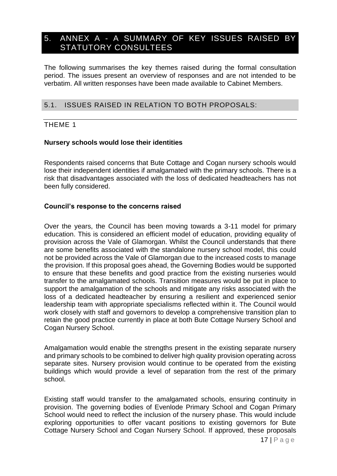### <span id="page-18-0"></span>5. ANNEX A - A SUMMARY OF KEY ISSUES RAISED BY STATUTORY CONSULTEES

The following summarises the key themes raised during the formal consultation period. The issues present an overview of responses and are not intended to be verbatim. All written responses have been made available to Cabinet Members.

### 5.1. ISSUES RAISED IN RELATION TO BOTH PROPOSALS:

### THEME 1

### **Nursery schools would lose their identities**

Respondents raised concerns that Bute Cottage and Cogan nursery schools would lose their independent identities if amalgamated with the primary schools. There is a risk that disadvantages associated with the loss of dedicated headteachers has not been fully considered.

### **Council's response to the concerns raised**

Over the years, the Council has been moving towards a 3-11 model for primary education. This is considered an efficient model of education, providing equality of provision across the Vale of Glamorgan. Whilst the Council understands that there are some benefits associated with the standalone nursery school model, this could not be provided across the Vale of Glamorgan due to the increased costs to manage the provision. If this proposal goes ahead, the Governing Bodies would be supported to ensure that these benefits and good practice from the existing nurseries would transfer to the amalgamated schools. Transition measures would be put in place to support the amalgamation of the schools and mitigate any risks associated with the loss of a dedicated headteacher by ensuring a resilient and experienced senior leadership team with appropriate specialisms reflected within it. The Council would work closely with staff and governors to develop a comprehensive transition plan to retain the good practice currently in place at both Bute Cottage Nursery School and Cogan Nursery School.

Amalgamation would enable the strengths present in the existing separate nursery and primary schools to be combined to deliver high quality provision operating across separate sites. Nursery provision would continue to be operated from the existing buildings which would provide a level of separation from the rest of the primary school.

Existing staff would transfer to the amalgamated schools, ensuring continuity in provision. The governing bodies of Evenlode Primary School and Cogan Primary School would need to reflect the inclusion of the nursery phase. This would include exploring opportunities to offer vacant positions to existing governors for Bute Cottage Nursery School and Cogan Nursery School. If approved, these proposals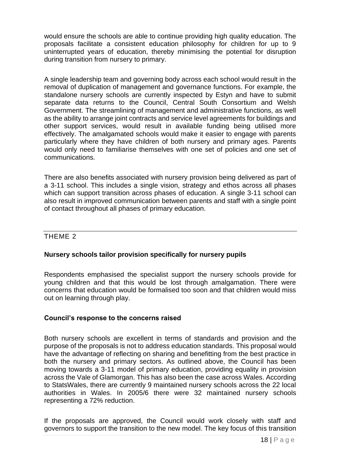would ensure the schools are able to continue providing high quality education. The proposals facilitate a consistent education philosophy for children for up to 9 uninterrupted years of education, thereby minimising the potential for disruption during transition from nursery to primary.

A single leadership team and governing body across each school would result in the removal of duplication of management and governance functions. For example, the standalone nursery schools are currently inspected by Estyn and have to submit separate data returns to the Council, Central South Consortium and Welsh Government. The streamlining of management and administrative functions, as well as the ability to arrange joint contracts and service level agreements for buildings and other support services, would result in available funding being utilised more effectively. The amalgamated schools would make it easier to engage with parents particularly where they have children of both nursery and primary ages. Parents would only need to familiarise themselves with one set of policies and one set of communications.

There are also benefits associated with nursery provision being delivered as part of a 3-11 school. This includes a single vision, strategy and ethos across all phases which can support transition across phases of education. A single 3-11 school can also result in improved communication between parents and staff with a single point of contact throughout all phases of primary education.

### THEME 2

### **Nursery schools tailor provision specifically for nursery pupils**

Respondents emphasised the specialist support the nursery schools provide for young children and that this would be lost through amalgamation. There were concerns that education would be formalised too soon and that children would miss out on learning through play.

### **Council's response to the concerns raised**

Both nursery schools are excellent in terms of standards and provision and the purpose of the proposals is not to address education standards. This proposal would have the advantage of reflecting on sharing and benefitting from the best practice in both the nursery and primary sectors. As outlined above, the Council has been moving towards a 3-11 model of primary education, providing equality in provision across the Vale of Glamorgan. This has also been the case across Wales. According to StatsWales, there are currently 9 maintained nursery schools across the 22 local authorities in Wales. In 2005/6 there were 32 maintained nursery schools representing a 72% reduction.

If the proposals are approved, the Council would work closely with staff and governors to support the transition to the new model. The key focus of this transition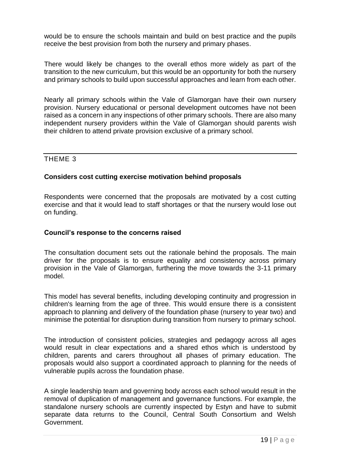would be to ensure the schools maintain and build on best practice and the pupils receive the best provision from both the nursery and primary phases.

There would likely be changes to the overall ethos more widely as part of the transition to the new curriculum, but this would be an opportunity for both the nursery and primary schools to build upon successful approaches and learn from each other.

Nearly all primary schools within the Vale of Glamorgan have their own nursery provision. Nursery educational or personal development outcomes have not been raised as a concern in any inspections of other primary schools. There are also many independent nursery providers within the Vale of Glamorgan should parents wish their children to attend private provision exclusive of a primary school.

### THEME 3

### **Considers cost cutting exercise motivation behind proposals**

Respondents were concerned that the proposals are motivated by a cost cutting exercise and that it would lead to staff shortages or that the nursery would lose out on funding.

### **Council's response to the concerns raised**

The consultation document sets out the rationale behind the proposals. The main driver for the proposals is to ensure equality and consistency across primary provision in the Vale of Glamorgan, furthering the move towards the 3-11 primary model.

This model has several benefits, including developing continuity and progression in children's learning from the age of three. This would ensure there is a consistent approach to planning and delivery of the foundation phase (nursery to year two) and minimise the potential for disruption during transition from nursery to primary school.

The introduction of consistent policies, strategies and pedagogy across all ages would result in clear expectations and a shared ethos which is understood by children, parents and carers throughout all phases of primary education. The proposals would also support a coordinated approach to planning for the needs of vulnerable pupils across the foundation phase.

A single leadership team and governing body across each school would result in the removal of duplication of management and governance functions. For example, the standalone nursery schools are currently inspected by Estyn and have to submit separate data returns to the Council, Central South Consortium and Welsh Government.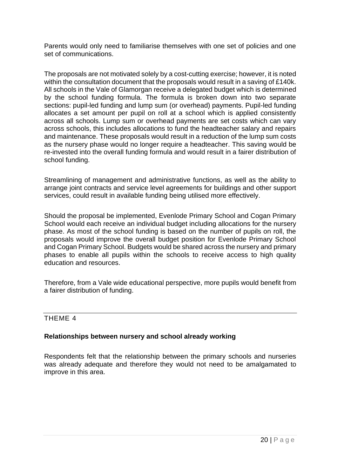Parents would only need to familiarise themselves with one set of policies and one set of communications.

The proposals are not motivated solely by a cost-cutting exercise; however, it is noted within the consultation document that the proposals would result in a saving of £140k. All schools in the Vale of Glamorgan receive a delegated budget which is determined by the school funding formula. The formula is broken down into two separate sections: pupil-led funding and lump sum (or overhead) payments. Pupil-led funding allocates a set amount per pupil on roll at a school which is applied consistently across all schools. Lump sum or overhead payments are set costs which can vary across schools, this includes allocations to fund the headteacher salary and repairs and maintenance. These proposals would result in a reduction of the lump sum costs as the nursery phase would no longer require a headteacher. This saving would be re-invested into the overall funding formula and would result in a fairer distribution of school funding.

Streamlining of management and administrative functions, as well as the ability to arrange joint contracts and service level agreements for buildings and other support services, could result in available funding being utilised more effectively.

Should the proposal be implemented, Evenlode Primary School and Cogan Primary School would each receive an individual budget including allocations for the nursery phase. As most of the school funding is based on the number of pupils on roll, the proposals would improve the overall budget position for Evenlode Primary School and Cogan Primary School. Budgets would be shared across the nursery and primary phases to enable all pupils within the schools to receive access to high quality education and resources.

Therefore, from a Vale wide educational perspective, more pupils would benefit from a fairer distribution of funding.

### THEME 4

### **Relationships between nursery and school already working**

Respondents felt that the relationship between the primary schools and nurseries was already adequate and therefore they would not need to be amalgamated to improve in this area.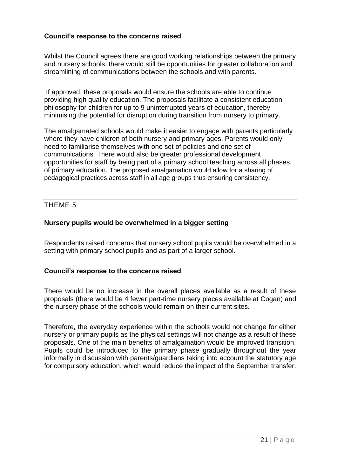### **Council's response to the concerns raised**

Whilst the Council agrees there are good working relationships between the primary and nursery schools, there would still be opportunities for greater collaboration and streamlining of communications between the schools and with parents.

If approved, these proposals would ensure the schools are able to continue providing high quality education. The proposals facilitate a consistent education philosophy for children for up to 9 uninterrupted years of education, thereby minimising the potential for disruption during transition from nursery to primary.

The amalgamated schools would make it easier to engage with parents particularly where they have children of both nursery and primary ages. Parents would only need to familiarise themselves with one set of policies and one set of communications. There would also be greater professional development opportunities for staff by being part of a primary school teaching across all phases of primary education. The proposed amalgamation would allow for a sharing of pedagogical practices across staff in all age groups thus ensuring consistency.

### THEME 5

### **Nursery pupils would be overwhelmed in a bigger setting**

Respondents raised concerns that nursery school pupils would be overwhelmed in a setting with primary school pupils and as part of a larger school.

### **Council's response to the concerns raised**

There would be no increase in the overall places available as a result of these proposals (there would be 4 fewer part-time nursery places available at Cogan) and the nursery phase of the schools would remain on their current sites.

Therefore, the everyday experience within the schools would not change for either nursery or primary pupils as the physical settings will not change as a result of these proposals. One of the main benefits of amalgamation would be improved transition. Pupils could be introduced to the primary phase gradually throughout the year informally in discussion with parents/guardians taking into account the statutory age for compulsory education, which would reduce the impact of the September transfer.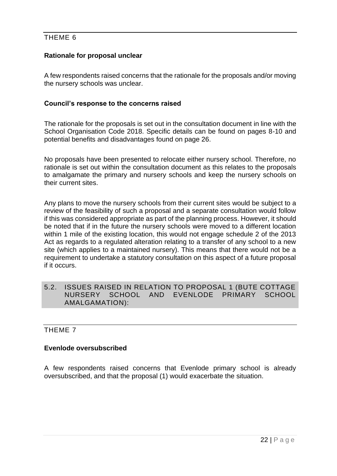### THEME 6

### **Rationale for proposal unclear**

A few respondents raised concerns that the rationale for the proposals and/or moving the nursery schools was unclear.

### **Council's response to the concerns raised**

The rationale for the proposals is set out in the consultation document in line with the School Organisation Code 2018. Specific details can be found on pages 8-10 and potential benefits and disadvantages found on page 26.

No proposals have been presented to relocate either nursery school. Therefore, no rationale is set out within the consultation document as this relates to the proposals to amalgamate the primary and nursery schools and keep the nursery schools on their current sites.

Any plans to move the nursery schools from their current sites would be subject to a review of the feasibility of such a proposal and a separate consultation would follow if this was considered appropriate as part of the planning process. However, it should be noted that if in the future the nursery schools were moved to a different location within 1 mile of the existing location, this would not engage schedule 2 of the 2013 Act as regards to a regulated alteration relating to a transfer of any school to a new site (which applies to a maintained nursery). This means that there would not be a requirement to undertake a statutory consultation on this aspect of a future proposal if it occurs.

### 5.2. ISSUES RAISED IN RELATION TO PROPOSAL 1 (BUTE COTTAGE NURSERY SCHOOL AND EVENLODE PRIMARY AMALGAMATION):

### THEME 7

### **Evenlode oversubscribed**

A few respondents raised concerns that Evenlode primary school is already oversubscribed, and that the proposal (1) would exacerbate the situation.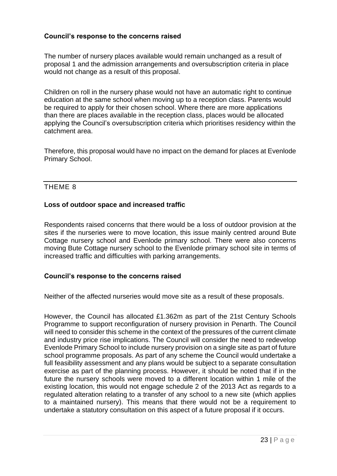### **Council's response to the concerns raised**

The number of nursery places available would remain unchanged as a result of proposal 1 and the admission arrangements and oversubscription criteria in place would not change as a result of this proposal.

Children on roll in the nursery phase would not have an automatic right to continue education at the same school when moving up to a reception class. Parents would be required to apply for their chosen school. Where there are more applications than there are places available in the reception class, places would be allocated applying the Council's oversubscription criteria which prioritises residency within the catchment area.

Therefore, this proposal would have no impact on the demand for places at Evenlode Primary School.

### THEME 8

### **Loss of outdoor space and increased traffic**

Respondents raised concerns that there would be a loss of outdoor provision at the sites if the nurseries were to move location, this issue mainly centred around Bute Cottage nursery school and Evenlode primary school. There were also concerns moving Bute Cottage nursery school to the Evenlode primary school site in terms of increased traffic and difficulties with parking arrangements.

#### **Council's response to the concerns raised**

Neither of the affected nurseries would move site as a result of these proposals.

However, the Council has allocated £1.362m as part of the 21st Century Schools Programme to support reconfiguration of nursery provision in Penarth. The Council will need to consider this scheme in the context of the pressures of the current climate and industry price rise implications. The Council will consider the need to redevelop Evenlode Primary School to include nursery provision on a single site as part of future school programme proposals. As part of any scheme the Council would undertake a full feasibility assessment and any plans would be subject to a separate consultation exercise as part of the planning process. However, it should be noted that if in the future the nursery schools were moved to a different location within 1 mile of the existing location, this would not engage schedule 2 of the 2013 Act as regards to a regulated alteration relating to a transfer of any school to a new site (which applies to a maintained nursery). This means that there would not be a requirement to undertake a statutory consultation on this aspect of a future proposal if it occurs.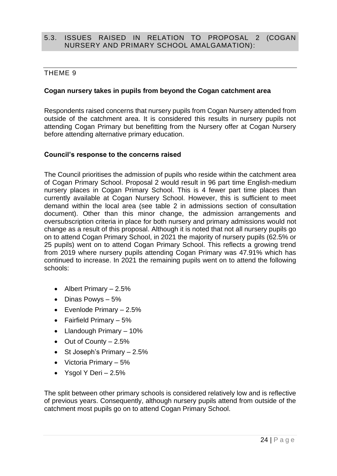### 5.3. ISSUES RAISED IN RELATION TO PROPOSAL 2 (COGAN NURSERY AND PRIMARY SCHOOL AMALGAMATION):

### THEME 9

### **Cogan nursery takes in pupils from beyond the Cogan catchment area**

Respondents raised concerns that nursery pupils from Cogan Nursery attended from outside of the catchment area. It is considered this results in nursery pupils not attending Cogan Primary but benefitting from the Nursery offer at Cogan Nursery before attending alternative primary education.

### **Council's response to the concerns raised**

The Council prioritises the admission of pupils who reside within the catchment area of Cogan Primary School. Proposal 2 would result in 96 part time English-medium nursery places in Cogan Primary School. This is 4 fewer part time places than currently available at Cogan Nursery School. However, this is sufficient to meet demand within the local area (see table 2 in admissions section of consultation document). Other than this minor change, the admission arrangements and oversubscription criteria in place for both nursery and primary admissions would not change as a result of this proposal. Although it is noted that not all nursery pupils go on to attend Cogan Primary School, in 2021 the majority of nursery pupils (62.5% or 25 pupils) went on to attend Cogan Primary School. This reflects a growing trend from 2019 where nursery pupils attending Cogan Primary was 47.91% which has continued to increase. In 2021 the remaining pupils went on to attend the following schools:

- Albert Primary 2.5%
- Dinas Powys 5%
- Evenlode Primary 2.5%
- Fairfield Primary 5%
- Llandough Primary 10%
- Out of County 2.5%
- St Joseph's Primary 2.5%
- Victoria Primary 5%
- Ysgol Y Deri  $-2.5%$

The split between other primary schools is considered relatively low and is reflective of previous years. Consequently, although nursery pupils attend from outside of the catchment most pupils go on to attend Cogan Primary School.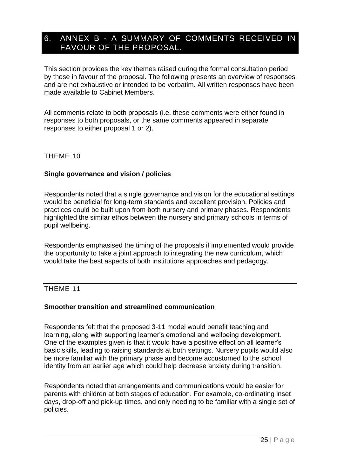### <span id="page-26-0"></span>6. ANNEX B - A SUMMARY OF COMMENTS RECEIVED IN FAVOUR OF THE PROPOSAL.

This section provides the key themes raised during the formal consultation period by those in favour of the proposal. The following presents an overview of responses and are not exhaustive or intended to be verbatim. All written responses have been made available to Cabinet Members.

All comments relate to both proposals (i.e. these comments were either found in responses to both proposals, or the same comments appeared in separate responses to either proposal 1 or 2).

### THEME 10

### **Single governance and vision / policies**

Respondents noted that a single governance and vision for the educational settings would be beneficial for long-term standards and excellent provision. Policies and practices could be built upon from both nursery and primary phases. Respondents highlighted the similar ethos between the nursery and primary schools in terms of pupil wellbeing.

Respondents emphasised the timing of the proposals if implemented would provide the opportunity to take a joint approach to integrating the new curriculum, which would take the best aspects of both institutions approaches and pedagogy.

### THEME 11

### **Smoother transition and streamlined communication**

Respondents felt that the proposed 3-11 model would benefit teaching and learning, along with supporting learner's emotional and wellbeing development. One of the examples given is that it would have a positive effect on all learner's basic skills, leading to raising standards at both settings. Nursery pupils would also be more familiar with the primary phase and become accustomed to the school identity from an earlier age which could help decrease anxiety during transition.

Respondents noted that arrangements and communications would be easier for parents with children at both stages of education. For example, co-ordinating inset days, drop-off and pick-up times, and only needing to be familiar with a single set of policies.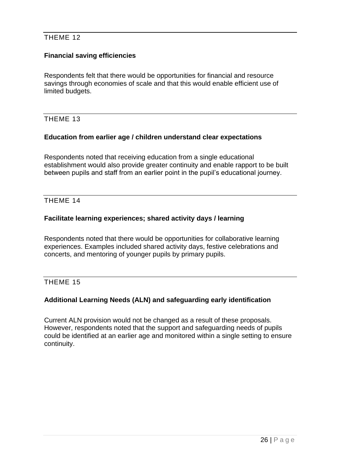### THEME 12

### **Financial saving efficiencies**

Respondents felt that there would be opportunities for financial and resource savings through economies of scale and that this would enable efficient use of limited budgets.

### THEME 13

### **Education from earlier age / children understand clear expectations**

Respondents noted that receiving education from a single educational establishment would also provide greater continuity and enable rapport to be built between pupils and staff from an earlier point in the pupil's educational journey.

### THEME 14

### **Facilitate learning experiences; shared activity days / learning**

Respondents noted that there would be opportunities for collaborative learning experiences. Examples included shared activity days, festive celebrations and concerts, and mentoring of younger pupils by primary pupils.

### THEME 15

### **Additional Learning Needs (ALN) and safeguarding early identification**

Current ALN provision would not be changed as a result of these proposals. However, respondents noted that the support and safeguarding needs of pupils could be identified at an earlier age and monitored within a single setting to ensure continuity.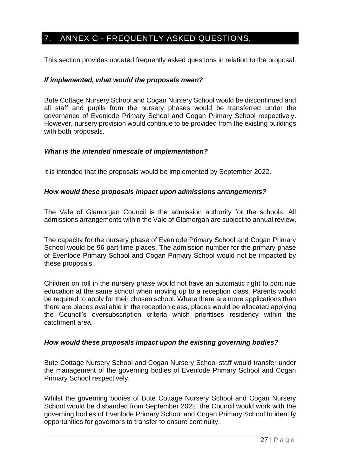### <span id="page-28-0"></span>7. ANNEX C - FREQUENTLY ASKED QUESTIONS.

This section provides updated frequently asked questions in relation to the proposal.

### *If implemented, what would the proposals mean?*

Bute Cottage Nursery School and Cogan Nursery School would be discontinued and all staff and pupils from the nursery phases would be transferred under the governance of Evenlode Primary School and Cogan Primary School respectively. However, nursery provision would continue to be provided from the existing buildings with both proposals.

### *What is the intended timescale of implementation?*

It is intended that the proposals would be implemented by September 2022.

### *How would these proposals impact upon admissions arrangements?*

The Vale of Glamorgan Council is the admission authority for the schools. All admissions arrangements within the Vale of Glamorgan are subject to annual review.

The capacity for the nursery phase of Evenlode Primary School and Cogan Primary School would be 96 part-time places. The admission number for the primary phase of Evenlode Primary School and Cogan Primary School would not be impacted by these proposals.

Children on roll in the nursery phase would not have an automatic right to continue education at the same school when moving up to a reception class. Parents would be required to apply for their chosen school. Where there are more applications than there are places available in the reception class, places would be allocated applying the Council's oversubscription criteria which prioritises residency within the catchment area.

### *How would these proposals impact upon the existing governing bodies?*

Bute Cottage Nursery School and Cogan Nursery School staff would transfer under the management of the governing bodies of Evenlode Primary School and Cogan Primary School respectively.

Whilst the governing bodies of Bute Cottage Nursery School and Cogan Nursery School would be disbanded from September 2022, the Council would work with the governing bodies of Evenlode Primary School and Cogan Primary School to identify opportunities for governors to transfer to ensure continuity.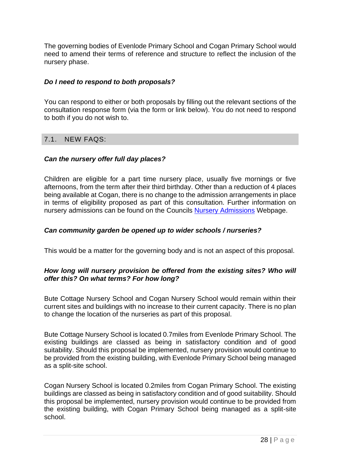The governing bodies of Evenlode Primary School and Cogan Primary School would need to amend their terms of reference and structure to reflect the inclusion of the nursery phase.

### *Do I need to respond to both proposals?*

You can respond to either or both proposals by filling out the relevant sections of the consultation response form (via the form or link below). You do not need to respond to both if you do not wish to.

### 7.1. NEW FAQS:

### *Can the nursery offer full day places?*

Children are eligible for a part time nursery place, usually five mornings or five afternoons, from the term after their third birthday. Other than a reduction of 4 places being available at Cogan, there is no change to the admission arrangements in place in terms of eligibility proposed as part of this consultation. Further information on nursery admissions can be found on the Councils [Nursery Admissions](https://www.valeofglamorgan.gov.uk/en/living/schools/admissions/Nursery-Admissions.aspx) Webpage.

### *Can community garden be opened up to wider schools / nurseries?*

This would be a matter for the governing body and is not an aspect of this proposal.

### *How long will nursery provision be offered from the existing sites? Who will offer this? On what terms? For how long?*

Bute Cottage Nursery School and Cogan Nursery School would remain within their current sites and buildings with no increase to their current capacity. There is no plan to change the location of the nurseries as part of this proposal.

Bute Cottage Nursery School is located 0.7miles from Evenlode Primary School. The existing buildings are classed as being in satisfactory condition and of good suitability. Should this proposal be implemented, nursery provision would continue to be provided from the existing building, with Evenlode Primary School being managed as a split-site school.

Cogan Nursery School is located 0.2miles from Cogan Primary School. The existing buildings are classed as being in satisfactory condition and of good suitability. Should this proposal be implemented, nursery provision would continue to be provided from the existing building, with Cogan Primary School being managed as a split-site school.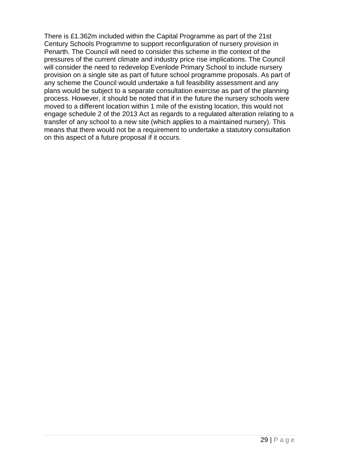There is £1.362m included within the Capital Programme as part of the 21st Century Schools Programme to support reconfiguration of nursery provision in Penarth. The Council will need to consider this scheme in the context of the pressures of the current climate and industry price rise implications. The Council will consider the need to redevelop Evenlode Primary School to include nursery provision on a single site as part of future school programme proposals. As part of any scheme the Council would undertake a full feasibility assessment and any plans would be subject to a separate consultation exercise as part of the planning process. However, it should be noted that if in the future the nursery schools were moved to a different location within 1 mile of the existing location, this would not engage schedule 2 of the 2013 Act as regards to a regulated alteration relating to a transfer of any school to a new site (which applies to a maintained nursery). This means that there would not be a requirement to undertake a statutory consultation on this aspect of a future proposal if it occurs.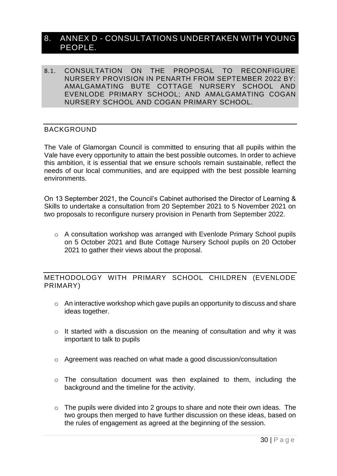### <span id="page-31-0"></span>8. ANNEX D - CONSULTATIONS UNDERTAKEN WITH YOUNG PEOPLE.

8.1. CONSULTATION ON THE PROPOSAL TO RECONFIGURE NURSERY PROVISION IN PENARTH FROM SEPTEMBER 2022 BY: AMALGAMATING BUTE COTTAGE NURSERY SCHOOL AND EVENLODE PRIMARY SCHOOL; AND AMALGAMATING COGAN NURSERY SCHOOL AND COGAN PRIMARY SCHOOL.

### BACKGROUND

The Vale of Glamorgan Council is committed to ensuring that all pupils within the Vale have every opportunity to attain the best possible outcomes. In order to achieve this ambition, it is essential that we ensure schools remain sustainable, reflect the needs of our local communities, and are equipped with the best possible learning environments.

On 13 September 2021, the Council's Cabinet authorised the Director of Learning & Skills to undertake a consultation from 20 September 2021 to 5 November 2021 on two proposals to reconfigure nursery provision in Penarth from September 2022.

o A consultation workshop was arranged with Evenlode Primary School pupils on 5 October 2021 and Bute Cottage Nursery School pupils on 20 October 2021 to gather their views about the proposal.

METHODOLOGY WITH PRIMARY SCHOOL CHILDREN (EVENLODE PRIMARY)

- o An interactive workshop which gave pupils an opportunity to discuss and share ideas together.
- $\circ$  It started with a discussion on the meaning of consultation and why it was important to talk to pupils
- o Agreement was reached on what made a good discussion/consultation
- o The consultation document was then explained to them, including the background and the timeline for the activity.
- $\circ$  The pupils were divided into 2 groups to share and note their own ideas. The two groups then merged to have further discussion on these ideas, based on the rules of engagement as agreed at the beginning of the session.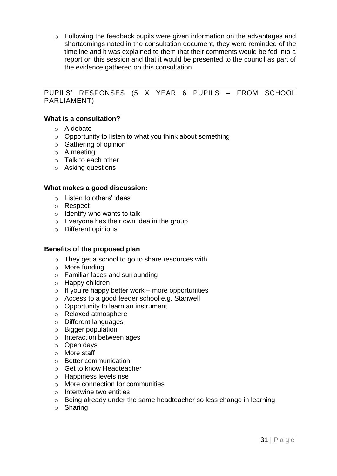$\circ$  Following the feedback pupils were given information on the advantages and shortcomings noted in the consultation document, they were reminded of the timeline and it was explained to them that their comments would be fed into a report on this session and that it would be presented to the council as part of the evidence gathered on this consultation.

### PUPILS' RESPONSES (5 X YEAR 6 PUPILS – FROM SCHOOL PARLIAMENT)

### **What is a consultation?**

- o A debate
- $\circ$  Opportunity to listen to what you think about something
- o Gathering of opinion
- o A meeting
- o Talk to each other
- o Asking questions

#### **What makes a good discussion:**

- o Listen to others' ideas
- o Respect
- $\circ$  Identify who wants to talk
- o Everyone has their own idea in the group
- o Different opinions

#### **Benefits of the proposed plan**

- o They get a school to go to share resources with
- o More funding
- o Familiar faces and surrounding
- o Happy children
- $\circ$  If you're happy better work more opportunities
- o Access to a good feeder school e.g. Stanwell
- o Opportunity to learn an instrument
- o Relaxed atmosphere
- o Different languages
- o Bigger population
- o Interaction between ages
- o Open days
- o More staff
- o Better communication
- o Get to know Headteacher
- o Happiness levels rise
- o More connection for communities
- o Intertwine two entities
- o Being already under the same headteacher so less change in learning
- o Sharing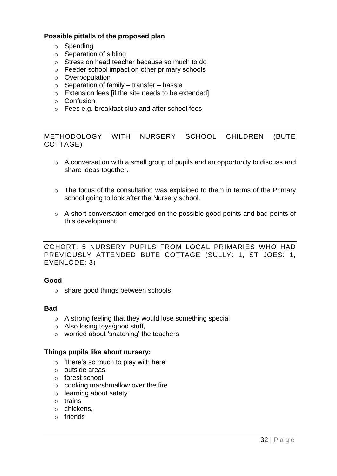### **Possible pitfalls of the proposed plan**

- o Spending
- o Separation of sibling
- o Stress on head teacher because so much to do
- o Feeder school impact on other primary schools
- o Overpopulation
- $\circ$  Separation of family transfer hassle
- o Extension fees [if the site needs to be extended]
- o Confusion
- o Fees e.g. breakfast club and after school fees

METHODOLOGY WITH NURSERY SCHOOL CHILDREN (BUTE COTTAGE)

- o A conversation with a small group of pupils and an opportunity to discuss and share ideas together.
- o The focus of the consultation was explained to them in terms of the Primary school going to look after the Nursery school.
- o A short conversation emerged on the possible good points and bad points of this development.

COHORT: 5 NURSERY PUPILS FROM LOCAL PRIMARIES WHO HAD PREVIOUSLY ATTENDED BUTE COTTAGE (SULLY: 1, ST JOES: 1, EVENLODE: 3)

#### **Good**

o share good things between schools

#### **Bad**

- o A strong feeling that they would lose something special
- o Also losing toys/good stuff,
- o worried about 'snatching' the teachers

#### **Things pupils like about nursery:**

- $\circ$  'there's so much to play with here'
- o outside areas
- o forest school
- $\circ$  cooking marshmallow over the fire
- o learning about safety
- o trains
- o chickens,
- o friends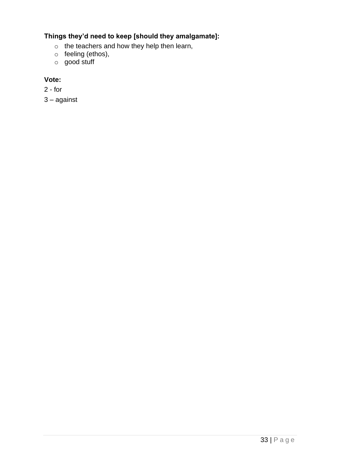### **Things they'd need to keep [should they amalgamate]:**

- o the teachers and how they help then learn,
- o feeling (ethos),
- o good stuff

### **Vote:**

2 - for

3 – against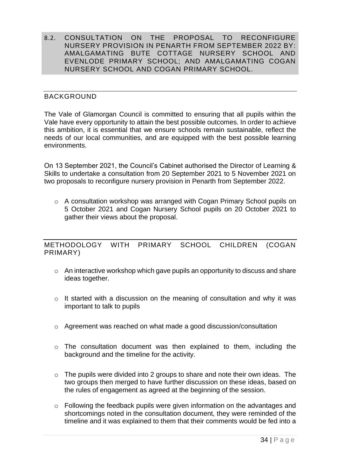8.2. CONSULTATION ON THE PROPOSAL TO RECONFIGURE NURSERY PROVISION IN PENARTH FROM SEPTEMBER 2022 BY: AMALGAMATING BUTE COTTAGE NURSERY SCHOOL AND EVENLODE PRIMARY SCHOOL; AND AMALGAMATING COGAN NURSERY SCHOOL AND COGAN PRIMARY SCHOOL.

### BACKGROUND

The Vale of Glamorgan Council is committed to ensuring that all pupils within the Vale have every opportunity to attain the best possible outcomes. In order to achieve this ambition, it is essential that we ensure schools remain sustainable, reflect the needs of our local communities, and are equipped with the best possible learning environments.

On 13 September 2021, the Council's Cabinet authorised the Director of Learning & Skills to undertake a consultation from 20 September 2021 to 5 November 2021 on two proposals to reconfigure nursery provision in Penarth from September 2022.

o A consultation workshop was arranged with Cogan Primary School pupils on 5 October 2021 and Cogan Nursery School pupils on 20 October 2021 to gather their views about the proposal.

### METHODOLOGY WITH PRIMARY SCHOOL CHILDREN (COGAN PRIMARY)

- o An interactive workshop which gave pupils an opportunity to discuss and share ideas together.
- o It started with a discussion on the meaning of consultation and why it was important to talk to pupils
- $\circ$  Agreement was reached on what made a good discussion/consultation
- o The consultation document was then explained to them, including the background and the timeline for the activity.
- $\circ$  The pupils were divided into 2 groups to share and note their own ideas. The two groups then merged to have further discussion on these ideas, based on the rules of engagement as agreed at the beginning of the session.
- o Following the feedback pupils were given information on the advantages and shortcomings noted in the consultation document, they were reminded of the timeline and it was explained to them that their comments would be fed into a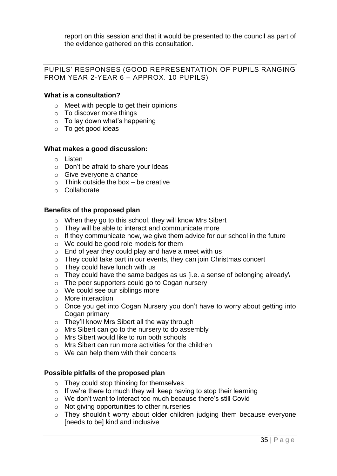report on this session and that it would be presented to the council as part of the evidence gathered on this consultation.

### PUPILS' RESPONSES (GOOD REPRESENTATION OF PUPILS RANGING FROM YEAR 2-YEAR 6 – APPROX. 10 PUPILS)

### **What is a consultation?**

- o Meet with people to get their opinions
- o To discover more things
- $\circ$  To lay down what's happening
- o To get good ideas

### **What makes a good discussion:**

- o Listen
- o Don't be afraid to share your ideas
- o Give everyone a chance
- $\circ$  Think outside the box be creative
- o Collaborate

### **Benefits of the proposed plan**

- o When they go to this school, they will know Mrs Sibert
- o They will be able to interact and communicate more
- $\circ$  If they communicate now, we give them advice for our school in the future
- o We could be good role models for them
- $\circ$  End of year they could play and have a meet with us
- $\circ$  They could take part in our events, they can join Christmas concert
- $\circ$  They could have lunch with us
- $\circ$  They could have the same badges as us [i.e. a sense of belonging already\
- o The peer supporters could go to Cogan nursery
- o We could see our siblings more
- o More interaction
- o Once you get into Cogan Nursery you don't have to worry about getting into Cogan primary
- o They'll know Mrs Sibert all the way through
- o Mrs Sibert can go to the nursery to do assembly
- o Mrs Sibert would like to run both schools
- o Mrs Sibert can run more activities for the children
- o We can help them with their concerts

### **Possible pitfalls of the proposed plan**

- o They could stop thinking for themselves
- $\circ$  If we're there to much they will keep having to stop their learning
- o We don't want to interact too much because there's still Covid
- o Not giving opportunities to other nurseries
- o They shouldn't worry about older children judging them because everyone [needs to be] kind and inclusive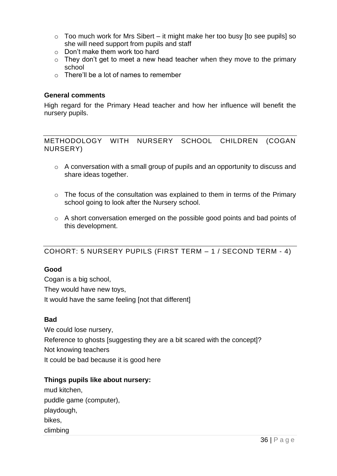- $\circ$  Too much work for Mrs Sibert it might make her too busy [to see pupils] so she will need support from pupils and staff
- o Don't make them work too hard
- $\circ$  They don't get to meet a new head teacher when they move to the primary school
- o There'll be a lot of names to remember

### **General comments**

High regard for the Primary Head teacher and how her influence will benefit the nursery pupils.

METHODOLOGY WITH NURSERY SCHOOL CHILDREN (COGAN NURSERY)

- o A conversation with a small group of pupils and an opportunity to discuss and share ideas together.
- $\circ$  The focus of the consultation was explained to them in terms of the Primary school going to look after the Nursery school.
- o A short conversation emerged on the possible good points and bad points of this development.

### COHORT: 5 NURSERY PUPILS (FIRST TERM – 1 / SECOND TERM - 4)

### **Good**

Cogan is a big school, They would have new toys, It would have the same feeling [not that different]

### **Bad**

We could lose nursery, Reference to ghosts [suggesting they are a bit scared with the concept]? Not knowing teachers It could be bad because it is good here

### **Things pupils like about nursery:**

| mud kitchen,            |
|-------------------------|
| puddle game (computer), |
| playdough,              |
| bikes,                  |
| climbing                |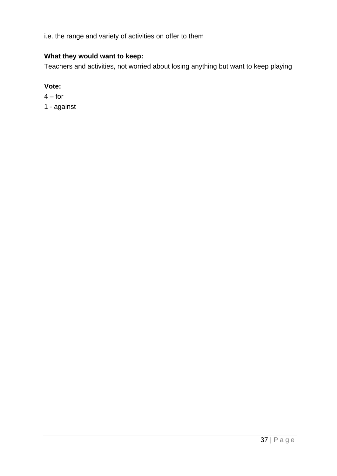i.e. the range and variety of activities on offer to them

### **What they would want to keep:**

Teachers and activities, not worried about losing anything but want to keep playing

### **Vote:**

 $4 - for$ 

<span id="page-38-0"></span>1 - against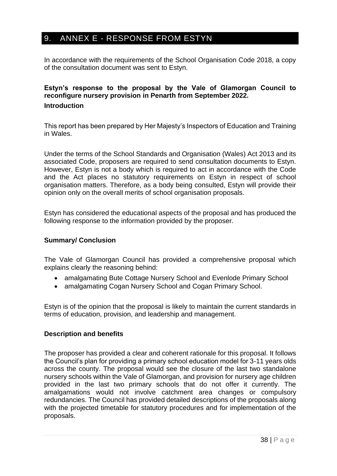### 9. ANNEX E - RESPONSE FROM ESTYN

In accordance with the requirements of the School Organisation Code 2018, a copy of the consultation document was sent to Estyn.

### **Estyn's response to the proposal by the Vale of Glamorgan Council to reconfigure nursery provision in Penarth from September 2022. Introduction**

This report has been prepared by Her Majesty's Inspectors of Education and Training in Wales.

Under the terms of the School Standards and Organisation (Wales) Act 2013 and its associated Code, proposers are required to send consultation documents to Estyn. However, Estyn is not a body which is required to act in accordance with the Code and the Act places no statutory requirements on Estyn in respect of school organisation matters. Therefore, as a body being consulted, Estyn will provide their opinion only on the overall merits of school organisation proposals.

Estyn has considered the educational aspects of the proposal and has produced the following response to the information provided by the proposer.

### **Summary/ Conclusion**

The Vale of Glamorgan Council has provided a comprehensive proposal which explains clearly the reasoning behind:

- amalgamating Bute Cottage Nursery School and Evenlode Primary School
- amalgamating Cogan Nursery School and Cogan Primary School.

Estyn is of the opinion that the proposal is likely to maintain the current standards in terms of education, provision, and leadership and management.

### **Description and benefits**

The proposer has provided a clear and coherent rationale for this proposal. It follows the Council's plan for providing a primary school education model for 3-11 years olds across the county. The proposal would see the closure of the last two standalone nursery schools within the Vale of Glamorgan, and provision for nursery age children provided in the last two primary schools that do not offer it currently. The amalgamations would not involve catchment area changes or compulsory redundancies. The Council has provided detailed descriptions of the proposals along with the projected timetable for statutory procedures and for implementation of the proposals.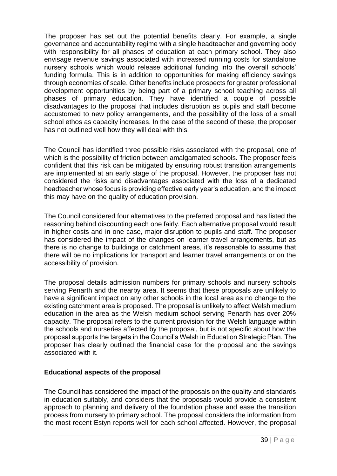The proposer has set out the potential benefits clearly. For example, a single governance and accountability regime with a single headteacher and governing body with responsibility for all phases of education at each primary school. They also envisage revenue savings associated with increased running costs for standalone nursery schools which would release additional funding into the overall schools' funding formula. This is in addition to opportunities for making efficiency savings through economies of scale. Other benefits include prospects for greater professional development opportunities by being part of a primary school teaching across all phases of primary education. They have identified a couple of possible disadvantages to the proposal that includes disruption as pupils and staff become accustomed to new policy arrangements, and the possibility of the loss of a small school ethos as capacity increases. In the case of the second of these, the proposer has not outlined well how they will deal with this.

The Council has identified three possible risks associated with the proposal, one of which is the possibility of friction between amalgamated schools. The proposer feels confident that this risk can be mitigated by ensuring robust transition arrangements are implemented at an early stage of the proposal. However, the proposer has not considered the risks and disadvantages associated with the loss of a dedicated headteacher whose focus is providing effective early year's education, and the impact this may have on the quality of education provision.

The Council considered four alternatives to the preferred proposal and has listed the reasoning behind discounting each one fairly. Each alternative proposal would result in higher costs and in one case, major disruption to pupils and staff. The proposer has considered the impact of the changes on learner travel arrangements, but as there is no change to buildings or catchment areas, it's reasonable to assume that there will be no implications for transport and learner travel arrangements or on the accessibility of provision.

The proposal details admission numbers for primary schools and nursery schools serving Penarth and the nearby area. It seems that these proposals are unlikely to have a significant impact on any other schools in the local area as no change to the existing catchment area is proposed. The proposal is unlikely to affect Welsh medium education in the area as the Welsh medium school serving Penarth has over 20% capacity. The proposal refers to the current provision for the Welsh language within the schools and nurseries affected by the proposal, but is not specific about how the proposal supports the targets in the Council's Welsh in Education Strategic Plan. The proposer has clearly outlined the financial case for the proposal and the savings associated with it.

### **Educational aspects of the proposal**

The Council has considered the impact of the proposals on the quality and standards in education suitably, and considers that the proposals would provide a consistent approach to planning and delivery of the foundation phase and ease the transition process from nursery to primary school. The proposal considers the information from the most recent Estyn reports well for each school affected. However, the proposal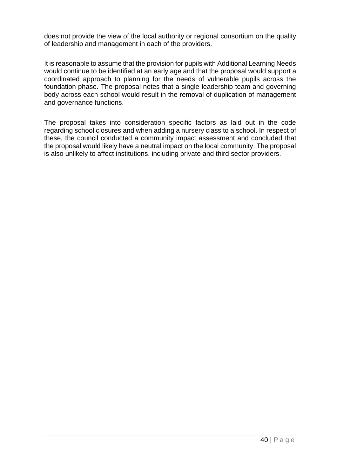does not provide the view of the local authority or regional consortium on the quality of leadership and management in each of the providers.

It is reasonable to assume that the provision for pupils with Additional Learning Needs would continue to be identified at an early age and that the proposal would support a coordinated approach to planning for the needs of vulnerable pupils across the foundation phase. The proposal notes that a single leadership team and governing body across each school would result in the removal of duplication of management and governance functions.

The proposal takes into consideration specific factors as laid out in the code regarding school closures and when adding a nursery class to a school. In respect of these, the council conducted a community impact assessment and concluded that the proposal would likely have a neutral impact on the local community. The proposal is also unlikely to affect institutions, including private and third sector providers.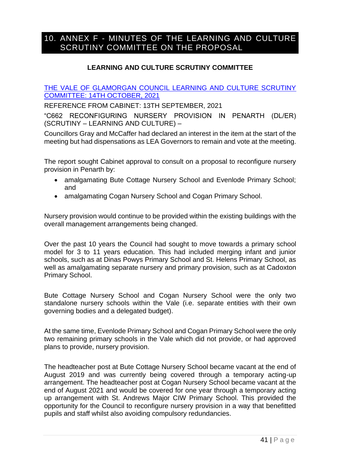### <span id="page-42-0"></span>10. ANNEX F - MINUTES OF THE LEARNING AND CULTURE SCRUTINY COMMITTEE ON THE PROPOSAL

### **LEARNING AND CULTURE SCRUTINY COMMITTEE**

[THE VALE OF GLAMORGAN COUNCIL LEARNING AND CULTURE SCRUTINY](https://www.valeofglamorgan.gov.uk/Documents/_Committee%20Reports/Scrutiny-LC/2021/21-10-14/Ref-from-Cab-Reconfiguring-Nursery-Provision.pdf)  [COMMITTEE: 14TH OCTOBER, 2021](https://www.valeofglamorgan.gov.uk/Documents/_Committee%20Reports/Scrutiny-LC/2021/21-10-14/Ref-from-Cab-Reconfiguring-Nursery-Provision.pdf)

REFERENCE FROM CABINET: 13TH SEPTEMBER, 2021

"C662 RECONFIGURING NURSERY PROVISION IN PENARTH (DL/ER) (SCRUTINY – LEARNING AND CULTURE) –

Councillors Gray and McCaffer had declared an interest in the item at the start of the meeting but had dispensations as LEA Governors to remain and vote at the meeting.

The report sought Cabinet approval to consult on a proposal to reconfigure nursery provision in Penarth by:

- amalgamating Bute Cottage Nursery School and Evenlode Primary School; and
- amalgamating Cogan Nursery School and Cogan Primary School.

Nursery provision would continue to be provided within the existing buildings with the overall management arrangements being changed.

Over the past 10 years the Council had sought to move towards a primary school model for 3 to 11 years education. This had included merging infant and junior schools, such as at Dinas Powys Primary School and St. Helens Primary School, as well as amalgamating separate nursery and primary provision, such as at Cadoxton Primary School.

Bute Cottage Nursery School and Cogan Nursery School were the only two standalone nursery schools within the Vale (i.e. separate entities with their own governing bodies and a delegated budget).

At the same time, Evenlode Primary School and Cogan Primary School were the only two remaining primary schools in the Vale which did not provide, or had approved plans to provide, nursery provision.

The headteacher post at Bute Cottage Nursery School became vacant at the end of August 2019 and was currently being covered through a temporary acting-up arrangement. The headteacher post at Cogan Nursery School became vacant at the end of August 2021 and would be covered for one year through a temporary acting up arrangement with St. Andrews Major CIW Primary School. This provided the opportunity for the Council to reconfigure nursery provision in a way that benefitted pupils and staff whilst also avoiding compulsory redundancies.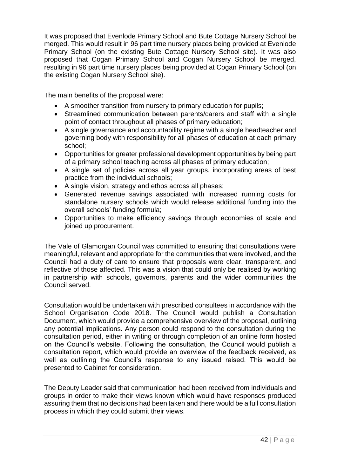It was proposed that Evenlode Primary School and Bute Cottage Nursery School be merged. This would result in 96 part time nursery places being provided at Evenlode Primary School (on the existing Bute Cottage Nursery School site). It was also proposed that Cogan Primary School and Cogan Nursery School be merged, resulting in 96 part time nursery places being provided at Cogan Primary School (on the existing Cogan Nursery School site).

The main benefits of the proposal were:

- A smoother transition from nursery to primary education for pupils;
- Streamlined communication between parents/carers and staff with a single point of contact throughout all phases of primary education;
- A single governance and accountability regime with a single headteacher and governing body with responsibility for all phases of education at each primary school;
- Opportunities for greater professional development opportunities by being part of a primary school teaching across all phases of primary education;
- A single set of policies across all year groups, incorporating areas of best practice from the individual schools;
- A single vision, strategy and ethos across all phases;
- Generated revenue savings associated with increased running costs for standalone nursery schools which would release additional funding into the overall schools' funding formula;
- Opportunities to make efficiency savings through economies of scale and joined up procurement.

The Vale of Glamorgan Council was committed to ensuring that consultations were meaningful, relevant and appropriate for the communities that were involved, and the Council had a duty of care to ensure that proposals were clear, transparent, and reflective of those affected. This was a vision that could only be realised by working in partnership with schools, governors, parents and the wider communities the Council served.

Consultation would be undertaken with prescribed consultees in accordance with the School Organisation Code 2018. The Council would publish a Consultation Document, which would provide a comprehensive overview of the proposal, outlining any potential implications. Any person could respond to the consultation during the consultation period, either in writing or through completion of an online form hosted on the Council's website. Following the consultation, the Council would publish a consultation report, which would provide an overview of the feedback received, as well as outlining the Council's response to any issued raised. This would be presented to Cabinet for consideration.

The Deputy Leader said that communication had been received from individuals and groups in order to make their views known which would have responses produced assuring them that no decisions had been taken and there would be a full consultation process in which they could submit their views.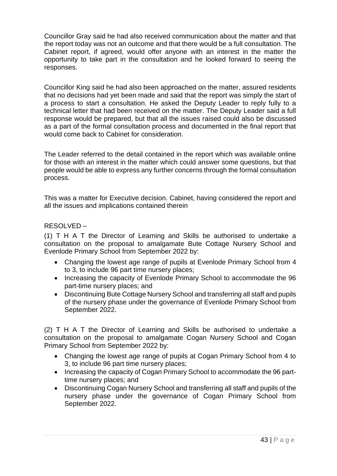Councillor Gray said he had also received communication about the matter and that the report today was not an outcome and that there would be a full consultation. The Cabinet report, if agreed, would offer anyone with an interest in the matter the opportunity to take part in the consultation and he looked forward to seeing the responses.

Councillor King said he had also been approached on the matter, assured residents that no decisions had yet been made and said that the report was simply the start of a process to start a consultation. He asked the Deputy Leader to reply fully to a technical letter that had been received on the matter. The Deputy Leader said a full response would be prepared, but that all the issues raised could also be discussed as a part of the formal consultation process and documented in the final report that would come back to Cabinet for consideration.

The Leader referred to the detail contained in the report which was available online for those with an interest in the matter which could answer some questions, but that people would be able to express any further concerns through the formal consultation process.

This was a matter for Executive decision. Cabinet, having considered the report and all the issues and implications contained therein

### RESOLVED –

(1) T H A T the Director of Learning and Skills be authorised to undertake a consultation on the proposal to amalgamate Bute Cottage Nursery School and Evenlode Primary School from September 2022 by:

- Changing the lowest age range of pupils at Evenlode Primary School from 4 to 3, to include 96 part time nursery places;
- Increasing the capacity of Evenlode Primary School to accommodate the 96 part-time nursery places; and
- Discontinuing Bute Cottage Nursery School and transferring all staff and pupils of the nursery phase under the governance of Evenlode Primary School from September 2022.

(2) T H A T the Director of Learning and Skills be authorised to undertake a consultation on the proposal to amalgamate Cogan Nursery School and Cogan Primary School from September 2022 by:

- Changing the lowest age range of pupils at Cogan Primary School from 4 to 3, to include 96 part time nursery places;
- Increasing the capacity of Cogan Primary School to accommodate the 96 parttime nursery places; and
- Discontinuing Cogan Nursery School and transferring all staff and pupils of the nursery phase under the governance of Cogan Primary School from September 2022.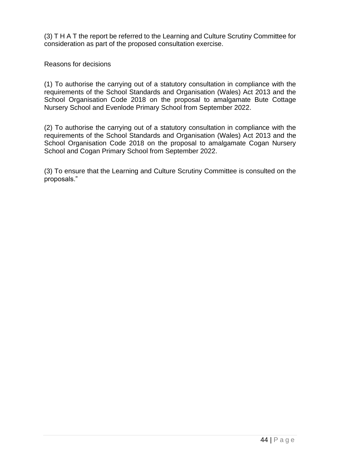(3) T H A T the report be referred to the Learning and Culture Scrutiny Committee for consideration as part of the proposed consultation exercise.

Reasons for decisions

(1) To authorise the carrying out of a statutory consultation in compliance with the requirements of the School Standards and Organisation (Wales) Act 2013 and the School Organisation Code 2018 on the proposal to amalgamate Bute Cottage Nursery School and Evenlode Primary School from September 2022.

(2) To authorise the carrying out of a statutory consultation in compliance with the requirements of the School Standards and Organisation (Wales) Act 2013 and the School Organisation Code 2018 on the proposal to amalgamate Cogan Nursery School and Cogan Primary School from September 2022.

(3) To ensure that the Learning and Culture Scrutiny Committee is consulted on the proposals."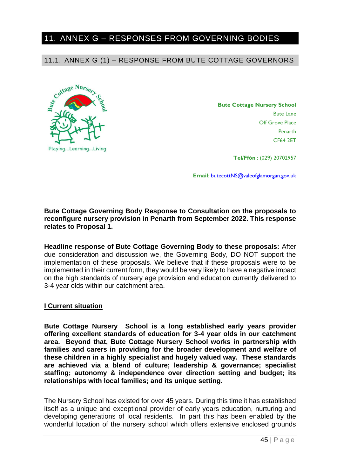### <span id="page-46-0"></span>11. ANNEX G – RESPONSES FROM GOVERNING BODIES

11.1. ANNEX G (1) – RESPONSE FROM BUTE COTTAGE GOVERNORS



**Bute Cottage Nursery School** Bute Lane Off Grove Place Penarth CF64 2ET

**Tel/Ffón** : (029) 20702957

**Email**[: butecottNS@valeofglamorgan.gov.uk](mailto:butecottNS@valeofglamorgan.gov.uk)

**Bute Cottage Governing Body Response to Consultation on the proposals to reconfigure nursery provision in Penarth from September 2022. This response relates to Proposal 1.**

**Headline response of Bute Cottage Governing Body to these proposals:** After due consideration and discussion we, the Governing Body, DO NOT support the implementation of these proposals. We believe that if these proposals were to be implemented in their current form, they would be very likely to have a negative impact on the high standards of nursery age provision and education currently delivered to 3-4 year olds within our catchment area.

#### **I Current situation**

**Bute Cottage Nursery School is a long established early years provider offering excellent standards of education for 3-4 year olds in our catchment area. Beyond that, Bute Cottage Nursery School works in partnership with families and carers in providing for the broader development and welfare of these children in a highly specialist and hugely valued way. These standards are achieved via a blend of culture; leadership & governance; specialist staffing; autonomy & independence over direction setting and budget; its relationships with local families; and its unique setting.**

The Nursery School has existed for over 45 years. During this time it has established itself as a unique and exceptional provider of early years education, nurturing and developing generations of local residents. In part this has been enabled by the wonderful location of the nursery school which offers extensive enclosed grounds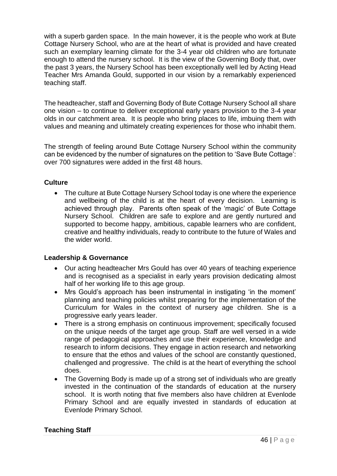with a superb garden space. In the main however, it is the people who work at Bute Cottage Nursery School, who are at the heart of what is provided and have created such an exemplary learning climate for the 3-4 year old children who are fortunate enough to attend the nursery school. It is the view of the Governing Body that, over the past 3 years, the Nursery School has been exceptionally well led by Acting Head Teacher Mrs Amanda Gould, supported in our vision by a remarkably experienced teaching staff.

The headteacher, staff and Governing Body of Bute Cottage Nursery School all share one vision – to continue to deliver exceptional early years provision to the 3-4 year olds in our catchment area. It is people who bring places to life, imbuing them with values and meaning and ultimately creating experiences for those who inhabit them.

The strength of feeling around Bute Cottage Nursery School within the community can be evidenced by the number of signatures on the petition to 'Save Bute Cottage': over 700 signatures were added in the first 48 hours.

### **Culture**

• The culture at Bute Cottage Nursery School today is one where the experience and wellbeing of the child is at the heart of every decision. Learning is achieved through play. Parents often speak of the 'magic' of Bute Cottage Nursery School. Children are safe to explore and are gently nurtured and supported to become happy, ambitious, capable learners who are confident, creative and healthy individuals, ready to contribute to the future of Wales and the wider world.

### **Leadership & Governance**

- Our acting headteacher Mrs Gould has over 40 years of teaching experience and is recognised as a specialist in early years provision dedicating almost half of her working life to this age group.
- Mrs Gould's approach has been instrumental in instigating 'in the moment' planning and teaching policies whilst preparing for the implementation of the Curriculum for Wales in the context of nursery age children. She is a progressive early years leader.
- There is a strong emphasis on continuous improvement; specifically focused on the unique needs of the target age group. Staff are well versed in a wide range of pedagogical approaches and use their experience, knowledge and research to inform decisions. They engage in action research and networking to ensure that the ethos and values of the school are constantly questioned, challenged and progressive. The child is at the heart of everything the school does.
- The Governing Body is made up of a strong set of individuals who are greatly invested in the continuation of the standards of education at the nursery school. It is worth noting that five members also have children at Evenlode Primary School and are equally invested in standards of education at Evenlode Primary School.

### **Teaching Staff**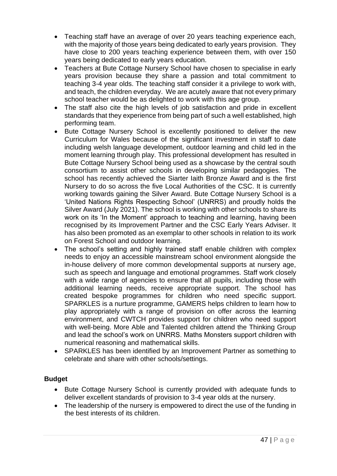- Teaching staff have an average of over 20 years teaching experience each, with the majority of those years being dedicated to early years provision. They have close to 200 years teaching experience between them, with over 150 years being dedicated to early years education.
- Teachers at Bute Cottage Nursery School have chosen to specialise in early years provision because they share a passion and total commitment to teaching 3-4 year olds. The teaching staff consider it a privilege to work with, and teach, the children everyday. We are acutely aware that not every primary school teacher would be as delighted to work with this age group.
- The staff also cite the high levels of job satisfaction and pride in excellent standards that they experience from being part of such a well established, high performing team.
- Bute Cottage Nursery School is excellently positioned to deliver the new Curriculum for Wales because of the significant investment in staff to date including welsh language development, outdoor learning and child led in the moment learning through play. This professional development has resulted in Bute Cottage Nursery School being used as a showcase by the central south consortium to assist other schools in developing similar pedagogies. The school has recently achieved the Siarter Iaith Bronze Award and is the first Nursery to do so across the five Local Authorities of the CSC. It is currently working towards gaining the Silver Award. Bute Cottage Nursery School is a 'United Nations Rights Respecting School' (UNRRS) and proudly holds the Silver Award (July 2021). The school is working with other schools to share its work on its 'In the Moment' approach to teaching and learning, having been recognised by its Improvement Partner and the CSC Early Years Adviser. It has also been promoted as an exemplar to other schools in relation to its work on Forest School and outdoor learning.
- The school's setting and highly trained staff enable children with complex needs to enjoy an accessible mainstream school environment alongside the in-house delivery of more common developmental supports at nursery age, such as speech and language and emotional programmes. Staff work closely with a wide range of agencies to ensure that all pupils, including those with additional learning needs, receive appropriate support. The school has created bespoke programmes for children who need specific support. SPARKLES is a nurture programme, GAMERS helps children to learn how to play appropriately with a range of provision on offer across the learning environment, and CWTCH provides support for children who need support with well-being. More Able and Talented children attend the Thinking Group and lead the school's work on UNRRS. Maths Monsters support children with numerical reasoning and mathematical skills.
- SPARKLES has been identified by an Improvement Partner as something to celebrate and share with other schools/settings.

### **Budget**

- Bute Cottage Nursery School is currently provided with adequate funds to deliver excellent standards of provision to 3-4 year olds at the nursery.
- The leadership of the nursery is empowered to direct the use of the funding in the best interests of its children.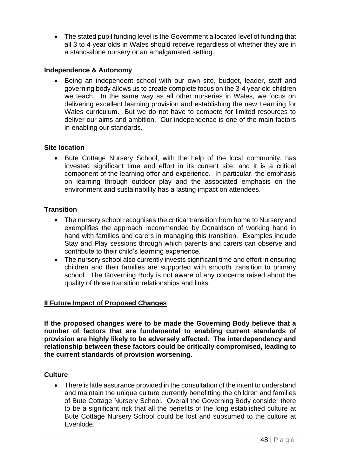• The stated pupil funding level is the Government allocated level of funding that all 3 to 4 year olds in Wales should receive regardless of whether they are in a stand-alone nursery or an amalgamated setting.

### **Independence & Autonomy**

Being an independent school with our own site, budget, leader, staff and governing body allows us to create complete focus on the 3-4 year old children we teach. In the same way as all other nurseries in Wales, we focus on delivering excellent learning provision and establishing the new Learning for Wales curriculum. But we do not have to compete for limited resources to deliver our aims and ambition. Our independence is one of the main factors in enabling our standards.

### **Site location**

• Bute Cottage Nursery School, with the help of the local community, has invested significant time and effort in its current site; and it is a critical component of the learning offer and experience. In particular, the emphasis on learning through outdoor play and the associated emphasis on the environment and sustainability has a lasting impact on attendees.

### **Transition**

- The nursery school recognises the critical transition from home to Nursery and exemplifies the approach recommended by Donaldson of working hand in hand with families and carers in managing this transition. Examples include Stay and Play sessions through which parents and carers can observe and contribute to their child's learning experience.
- The nursery school also currently invests significant time and effort in ensuring children and their families are supported with smooth transition to primary school. The Governing Body is not aware of any concerns raised about the quality of those transition relationships and links.

### **II Future Impact of Proposed Changes**

**If the proposed changes were to be made the Governing Body believe that a number of factors that are fundamental to enabling current standards of provision are highly likely to be adversely affected. The interdependency and relationship between these factors could be critically compromised, leading to the current standards of provision worsening.**

### **Culture**

• There is little assurance provided in the consultation of the intent to understand and maintain the unique culture currently benefitting the children and families of Bute Cottage Nursery School. Overall the Governing Body consider there to be a significant risk that all the benefits of the long established culture at Bute Cottage Nursery School could be lost and subsumed to the culture at Evenlode.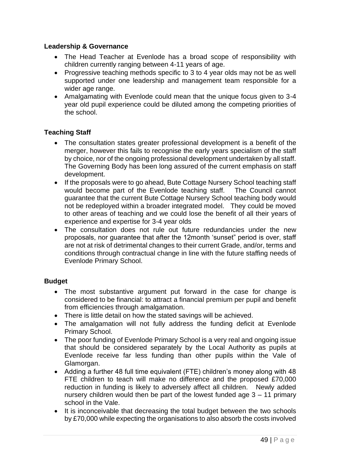### **Leadership & Governance**

- The Head Teacher at Evenlode has a broad scope of responsibility with children currently ranging between 4-11 years of age.
- Progressive teaching methods specific to 3 to 4 year olds may not be as well supported under one leadership and management team responsible for a wider age range.
- Amalgamating with Evenlode could mean that the unique focus given to 3-4 year old pupil experience could be diluted among the competing priorities of the school.

### **Teaching Staff**

- The consultation states greater professional development is a benefit of the merger, however this fails to recognise the early years specialism of the staff by choice, nor of the ongoing professional development undertaken by all staff. The Governing Body has been long assured of the current emphasis on staff development.
- If the proposals were to go ahead, Bute Cottage Nursery School teaching staff would become part of the Evenlode teaching staff. The Council cannot guarantee that the current Bute Cottage Nursery School teaching body would not be redeployed within a broader integrated model. They could be moved to other areas of teaching and we could lose the benefit of all their years of experience and expertise for 3-4 year olds
- The consultation does not rule out future redundancies under the new proposals, nor guarantee that after the 12month 'sunset" period is over, staff are not at risk of detrimental changes to their current Grade, and/or, terms and conditions through contractual change in line with the future staffing needs of Evenlode Primary School.

### **Budget**

- The most substantive argument put forward in the case for change is considered to be financial: to attract a financial premium per pupil and benefit from efficiencies through amalgamation.
- There is little detail on how the stated savings will be achieved.
- The amalgamation will not fully address the funding deficit at Evenlode Primary School.
- The poor funding of Evenlode Primary School is a very real and ongoing issue that should be considered separately by the Local Authority as pupils at Evenlode receive far less funding than other pupils within the Vale of Glamorgan.
- Adding a further 48 full time equivalent (FTE) children's money along with 48 FTE children to teach will make no difference and the proposed £70,000 reduction in funding is likely to adversely affect all children. Newly added nursery children would then be part of the lowest funded age 3 – 11 primary school in the Vale.
- It is inconceivable that decreasing the total budget between the two schools by £70,000 while expecting the organisations to also absorb the costs involved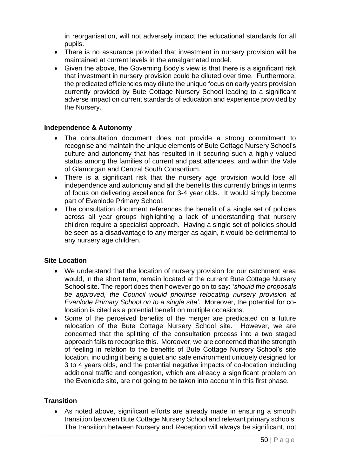in reorganisation, will not adversely impact the educational standards for all pupils.

- There is no assurance provided that investment in nursery provision will be maintained at current levels in the amalgamated model.
- Given the above, the Governing Body's view is that there is a significant risk that investment in nursery provision could be diluted over time. Furthermore, the predicated efficiencies may dilute the unique focus on early years provision currently provided by Bute Cottage Nursery School leading to a significant adverse impact on current standards of education and experience provided by the Nursery.

### **Independence & Autonomy**

- The consultation document does not provide a strong commitment to recognise and maintain the unique elements of Bute Cottage Nursery School's culture and autonomy that has resulted in it securing such a highly valued status among the families of current and past attendees, and within the Vale of Glamorgan and Central South Consortium.
- There is a significant risk that the nursery age provision would lose all independence and autonomy and all the benefits this currently brings in terms of focus on delivering excellence for 3-4 year olds. It would simply become part of Evenlode Primary School.
- The consultation document references the benefit of a single set of policies across all year groups highlighting a lack of understanding that nursery children require a specialist approach. Having a single set of policies should be seen as a disadvantage to any merger as again, it would be detrimental to any nursery age children.

### **Site Location**

- We understand that the location of nursery provision for our catchment area would, in the short term, remain located at the current Bute Cottage Nursery School site. The report does then however go on to say: *'should the proposals be approved, the Council would prioritise relocating nursery provision at Evenlode Primary School on to a single site'*. Moreover, the potential for colocation is cited as a potential benefit on multiple occasions.
- Some of the perceived benefits of the merger are predicated on a future relocation of the Bute Cottage Nursery School site. However, we are concerned that the splitting of the consultation process into a two staged approach fails to recognise this. Moreover, we are concerned that the strength of feeling in relation to the benefits of Bute Cottage Nursery School's site location, including it being a quiet and safe environment uniquely designed for 3 to 4 years olds, and the potential negative impacts of co-location including additional traffic and congestion, which are already a significant problem on the Evenlode site, are not going to be taken into account in this first phase.

### **Transition**

• As noted above, significant efforts are already made in ensuring a smooth transition between Bute Cottage Nursery School and relevant primary schools. The transition between Nursery and Reception will always be significant, not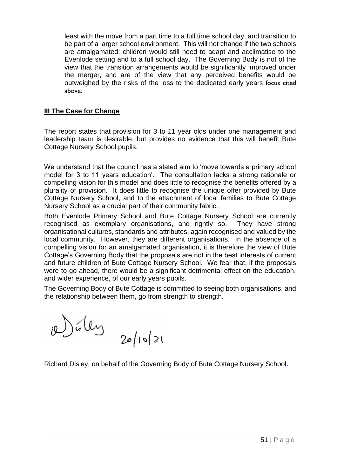least with the move from a part time to a full time school day, and transition to be part of a larger school environment. This will not change if the two schools are amalgamated: children would still need to adapt and acclimatise to the Evenlode setting and to a full school day. The Governing Body is not of the view that the transition arrangements would be significantly improved under the merger, and are of the view that any perceived benefits would be outweighed by the risks of the loss to the dedicated early years focus cited above.

### **III The Case for Change**

The report states that provision for 3 to 11 year olds under one management and leadership team is desirable, but provides no evidence that this will benefit Bute Cottage Nursery School pupils.

We understand that the council has a stated aim to 'move towards a primary school model for 3 to 11 years education'. The consultation lacks a strong rationale or compelling vision for this model and does little to recognise the benefits offered by a plurality of provision. It does little to recognise the unique offer provided by Bute Cottage Nursery School, and to the attachment of local families to Bute Cottage Nursery School as a crucial part of their community fabric.

Both Evenlode Primary School and Bute Cottage Nursery School are currently recognised as exemplary organisations, and rightly so. They have strong organisational cultures, standards and attributes, again recognised and valued by the local community. However, they are different organisations. In the absence of a compelling vision for an amalgamated organisation, it is therefore the view of Bute Cottage's Governing Body that the proposals are not in the best interests of current and future children of Bute Cottage Nursery School. We fear that, if the proposals were to go ahead, there would be a significant detrimental effect on the education, and wider experience, of our early years pupils.

The Governing Body of Bute Cottage is committed to seeing both organisations, and the relationship between them, go from strength to strength.

Dúley  $20/10/21$ 

Richard Disley, on behalf of the Governing Body of Bute Cottage Nursery School**.**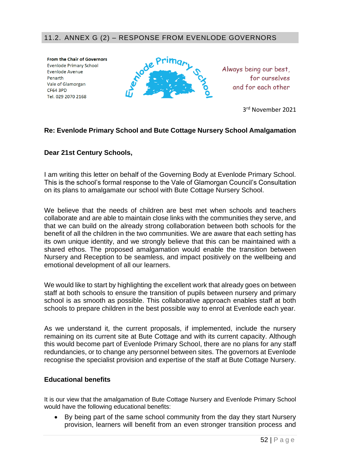### 11.2. ANNEX G (2) – RESPONSE FROM EVENLODE GOVERNORS

**From the Chair of Governors Evenlode Primary School Evenlode Avenue** Penarth Vale of Glamorgan **CF64 3PD** Tel. 029 2070 2168



Always being our best. for ourselves and for each other

3 rd November 2021

### **Re: Evenlode Primary School and Bute Cottage Nursery School Amalgamation**

### **Dear 21st Century Schools,**

I am writing this letter on behalf of the Governing Body at Evenlode Primary School. This is the school's formal response to the Vale of Glamorgan Council's Consultation on its plans to amalgamate our school with Bute Cottage Nursery School.

We believe that the needs of children are best met when schools and teachers collaborate and are able to maintain close links with the communities they serve, and that we can build on the already strong collaboration between both schools for the benefit of all the children in the two communities. We are aware that each setting has its own unique identity, and we strongly believe that this can be maintained with a shared ethos. The proposed amalgamation would enable the transition between Nursery and Reception to be seamless, and impact positively on the wellbeing and emotional development of all our learners.

We would like to start by highlighting the excellent work that already goes on between staff at both schools to ensure the transition of pupils between nursery and primary school is as smooth as possible. This collaborative approach enables staff at both schools to prepare children in the best possible way to enrol at Evenlode each year.

As we understand it, the current proposals, if implemented, include the nursery remaining on its current site at Bute Cottage and with its current capacity. Although this would become part of Evenlode Primary School, there are no plans for any staff redundancies, or to change any personnel between sites. The governors at Evenlode recognise the specialist provision and expertise of the staff at Bute Cottage Nursery.

#### **Educational benefits**

It is our view that the amalgamation of Bute Cottage Nursery and Evenlode Primary School would have the following educational benefits:

• By being part of the same school community from the day they start Nursery provision, learners will benefit from an even stronger transition process and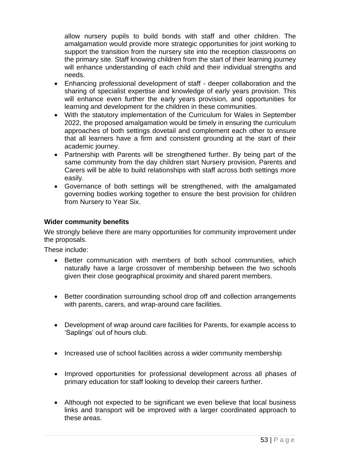allow nursery pupils to build bonds with staff and other children. The amalgamation would provide more strategic opportunities for joint working to support the transition from the nursery site into the reception classrooms on the primary site. Staff knowing children from the start of their learning journey will enhance understanding of each child and their individual strengths and needs.

- Enhancing professional development of staff deeper collaboration and the sharing of specialist expertise and knowledge of early years provision. This will enhance even further the early years provision, and opportunities for learning and development for the children in these communities.
- With the statutory implementation of the Curriculum for Wales in September 2022, the proposed amalgamation would be timely in ensuring the curriculum approaches of both settings dovetail and complement each other to ensure that all learners have a firm and consistent grounding at the start of their academic journey.
- Partnership with Parents will be strengthened further. By being part of the same community from the day children start Nursery provision, Parents and Carers will be able to build relationships with staff across both settings more easily.
- Governance of both settings will be strengthened, with the amalgamated governing bodies working together to ensure the best provision for children from Nursery to Year Six.

### **Wider community benefits**

We strongly believe there are many opportunities for community improvement under the proposals.

These include:

- Better communication with members of both school communities, which naturally have a large crossover of membership between the two schools given their close geographical proximity and shared parent members.
- Better coordination surrounding school drop off and collection arrangements with parents, carers, and wrap-around care facilities.
- Development of wrap around care facilities for Parents, for example access to 'Saplings' out of hours club.
- Increased use of school facilities across a wider community membership
- Improved opportunities for professional development across all phases of primary education for staff looking to develop their careers further.
- Although not expected to be significant we even believe that local business links and transport will be improved with a larger coordinated approach to these areas.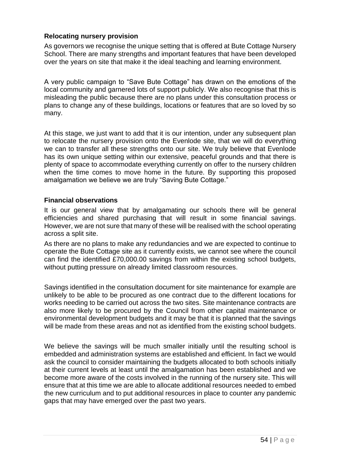### **Relocating nursery provision**

As governors we recognise the unique setting that is offered at Bute Cottage Nursery School. There are many strengths and important features that have been developed over the years on site that make it the ideal teaching and learning environment.

A very public campaign to "Save Bute Cottage" has drawn on the emotions of the local community and garnered lots of support publicly. We also recognise that this is misleading the public because there are no plans under this consultation process or plans to change any of these buildings, locations or features that are so loved by so many.

At this stage, we just want to add that it is our intention, under any subsequent plan to relocate the nursery provision onto the Evenlode site, that we will do everything we can to transfer all these strengths onto our site. We truly believe that Evenlode has its own unique setting within our extensive, peaceful grounds and that there is plenty of space to accommodate everything currently on offer to the nursery children when the time comes to move home in the future. By supporting this proposed amalgamation we believe we are truly "Saving Bute Cottage."

### **Financial observations**

It is our general view that by amalgamating our schools there will be general efficiencies and shared purchasing that will result in some financial savings. However, we are not sure that many of these will be realised with the school operating across a split site.

As there are no plans to make any redundancies and we are expected to continue to operate the Bute Cottage site as it currently exists, we cannot see where the council can find the identified £70,000.00 savings from within the existing school budgets, without putting pressure on already limited classroom resources.

Savings identified in the consultation document for site maintenance for example are unlikely to be able to be procured as one contract due to the different locations for works needing to be carried out across the two sites. Site maintenance contracts are also more likely to be procured by the Council from other capital maintenance or environmental development budgets and it may be that it is planned that the savings will be made from these areas and not as identified from the existing school budgets.

We believe the savings will be much smaller initially until the resulting school is embedded and administration systems are established and efficient. In fact we would ask the council to consider maintaining the budgets allocated to both schools initially at their current levels at least until the amalgamation has been established and we become more aware of the costs involved in the running of the nursery site. This will ensure that at this time we are able to allocate additional resources needed to embed the new curriculum and to put additional resources in place to counter any pandemic gaps that may have emerged over the past two years.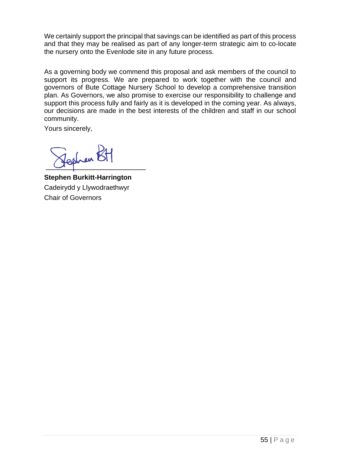We certainly support the principal that savings can be identified as part of this process and that they may be realised as part of any longer-term strategic aim to co-locate the nursery onto the Evenlode site in any future process.

As a governing body we commend this proposal and ask members of the council to support its progress. We are prepared to work together with the council and governors of Bute Cottage Nursery School to develop a comprehensive transition plan. As Governors, we also promise to exercise our responsibility to challenge and support this process fully and fairly as it is developed in the coming year. As always, our decisions are made in the best interests of the children and staff in our school community.

Yours sincerely,

Len E

**Stephen Burkitt-Harrington**  Cadeirydd y Llywodraethwyr Chair of Governors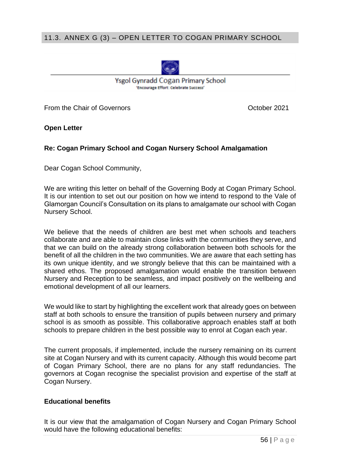### 11.3. ANNEX G (3) – OPEN LETTER TO COGAN PRIMARY SCHOOL



Ysgol Gynradd Cogan Primary School 'Encourage Effort: Celebrate Success'

From the Chair of Governors **Contact Contact Contact Contact Contact Contact Contact Contact Contact Contact Contact Contact Contact Contact Contact Contact Contact Contact Contact Contact Contact Contact Contact Contact C** 

**Open Letter** 

### **Re: Cogan Primary School and Cogan Nursery School Amalgamation**

Dear Cogan School Community,

We are writing this letter on behalf of the Governing Body at Cogan Primary School. It is our intention to set out our position on how we intend to respond to the Vale of Glamorgan Council's Consultation on its plans to amalgamate our school with Cogan Nursery School.

We believe that the needs of children are best met when schools and teachers collaborate and are able to maintain close links with the communities they serve, and that we can build on the already strong collaboration between both schools for the benefit of all the children in the two communities. We are aware that each setting has its own unique identity, and we strongly believe that this can be maintained with a shared ethos. The proposed amalgamation would enable the transition between Nursery and Reception to be seamless, and impact positively on the wellbeing and emotional development of all our learners.

We would like to start by highlighting the excellent work that already goes on between staff at both schools to ensure the transition of pupils between nursery and primary school is as smooth as possible. This collaborative approach enables staff at both schools to prepare children in the best possible way to enrol at Cogan each year.

The current proposals, if implemented, include the nursery remaining on its current site at Cogan Nursery and with its current capacity. Although this would become part of Cogan Primary School, there are no plans for any staff redundancies. The governors at Cogan recognise the specialist provision and expertise of the staff at Cogan Nursery.

### **Educational benefits**

It is our view that the amalgamation of Cogan Nursery and Cogan Primary School would have the following educational benefits: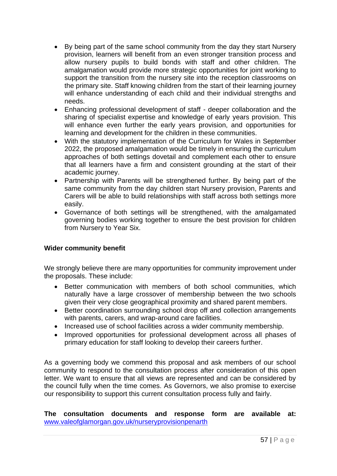- By being part of the same school community from the day they start Nursery provision, learners will benefit from an even stronger transition process and allow nursery pupils to build bonds with staff and other children. The amalgamation would provide more strategic opportunities for joint working to support the transition from the nursery site into the reception classrooms on the primary site. Staff knowing children from the start of their learning journey will enhance understanding of each child and their individual strengths and needs.
- Enhancing professional development of staff deeper collaboration and the sharing of specialist expertise and knowledge of early years provision. This will enhance even further the early years provision, and opportunities for learning and development for the children in these communities.
- With the statutory implementation of the Curriculum for Wales in September 2022, the proposed amalgamation would be timely in ensuring the curriculum approaches of both settings dovetail and complement each other to ensure that all learners have a firm and consistent grounding at the start of their academic journey.
- Partnership with Parents will be strengthened further. By being part of the same community from the day children start Nursery provision, Parents and Carers will be able to build relationships with staff across both settings more easily.
- Governance of both settings will be strengthened, with the amalgamated governing bodies working together to ensure the best provision for children from Nursery to Year Six.

### **Wider community benefit**

We strongly believe there are many opportunities for community improvement under the proposals. These include:

- Better communication with members of both school communities, which naturally have a large crossover of membership between the two schools given their very close geographical proximity and shared parent members.
- Better coordination surrounding school drop off and collection arrangements with parents, carers, and wrap-around care facilities.
- Increased use of school facilities across a wider community membership.
- Improved opportunities for professional development across all phases of primary education for staff looking to develop their careers further.

As a governing body we commend this proposal and ask members of our school community to respond to the consultation process after consideration of this open letter. We want to ensure that all views are represented and can be considered by the council fully when the time comes. As Governors, we also promise to exercise our responsibility to support this current consultation process fully and fairly.

**The consultation documents and response form are available at:** [www.valeofglamorgan.gov.uk/nurseryprovisionpenarth](http://www.valeofglamorgan.gov.uk/nurseryprovisionpenarth)